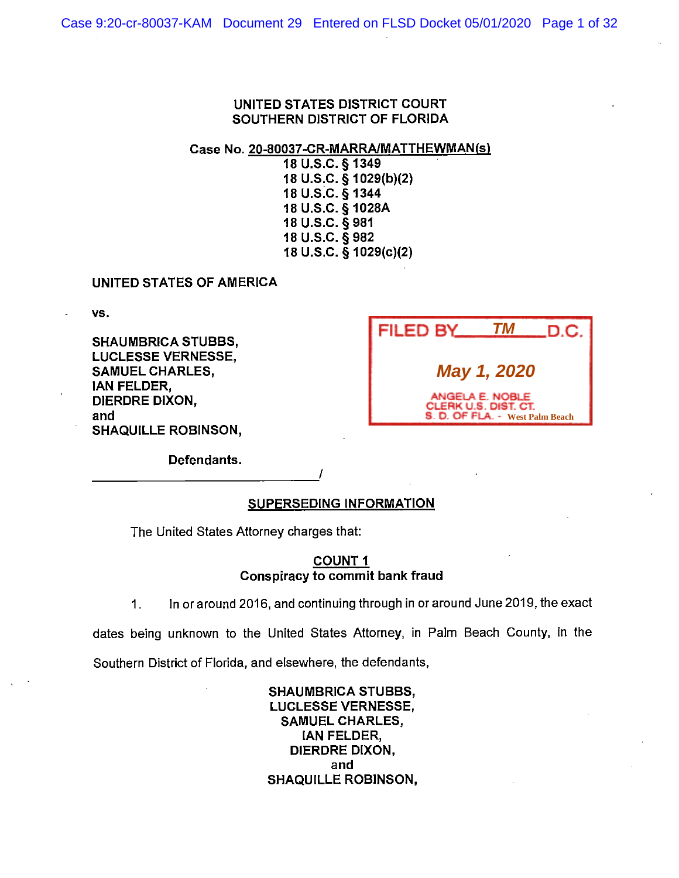Case No. 20-80037-CR-MARRA/MATTHEWMAN(s)

18 u.s.c. § 1349 18 U.S.C. § 1029(b)(2) 18 u.s.c. § 1344 18 U.S.C. § 1028A 18 u.s.c. § 981 18 u.s.c. § 982 18 U.S.C. § 1029(c)(2)

#### UNITED STATES OF AMERICA

vs.

**SHAUMBRICA STUBBS, LUCLESSE VERNESSE, SAMUEL CHARLES, IAN FELDER, DIERDRE DIXON, and SHAQUILLE ROBINSON,** 

| <b>FILED BY</b>                 | TМ                                      | .D.C. |
|---------------------------------|-----------------------------------------|-------|
|                                 | May 1, 2020                             |       |
| S. D. OF FLA. - West Palm Beach | ANGELA E. NOBLE<br>CLERK U.S. DIST. CT. |       |

**Defendants.**   $\begin{array}{cccccccccc}\n & & \text{Defendants.} \\
 & & & \text{I} \\
 \hline\n & & & \text{I} \\
 \hline\n & & & \text{I} \\
 \hline\n & & & \text{I} \\
 \hline\n & & & \text{I} \\
 \hline\n & & & \text{I} \\
 \hline\n & & & \text{I} \\
 \hline\n & & & \text{I} \\
 \hline\n & & & \text{I} \\
 \hline\n & & & \text{I} \\
 \hline\n & & & \text{I} \\
 \hline\n & & & \text{I} \\
 \hline\n & & & \text{I} \\
 \hline\n & & & \text{I} \\
 \hline\n & & & \text{I} \\
 \hline\n & & & \text$ 

# **SUPERSEDING INFORMATION**

The United States Attorney charges that:

#### **COUNT 1 Conspiracy to commit bank fraud**

1. In or around 2016, and continuing through in or around June 2019, the exact

dates being unknown to the United States Attorney, in Palm Beach County, in the

Southern District of Florida, and elsewhere, the defendants,

**SHAUMBRICA STUBBS, LUCLESSE VERNESSE, SAMUEL CHARLES,**  IAN FELDER, DIERDRE DIXON, and SHAQUILLE ROBINSON,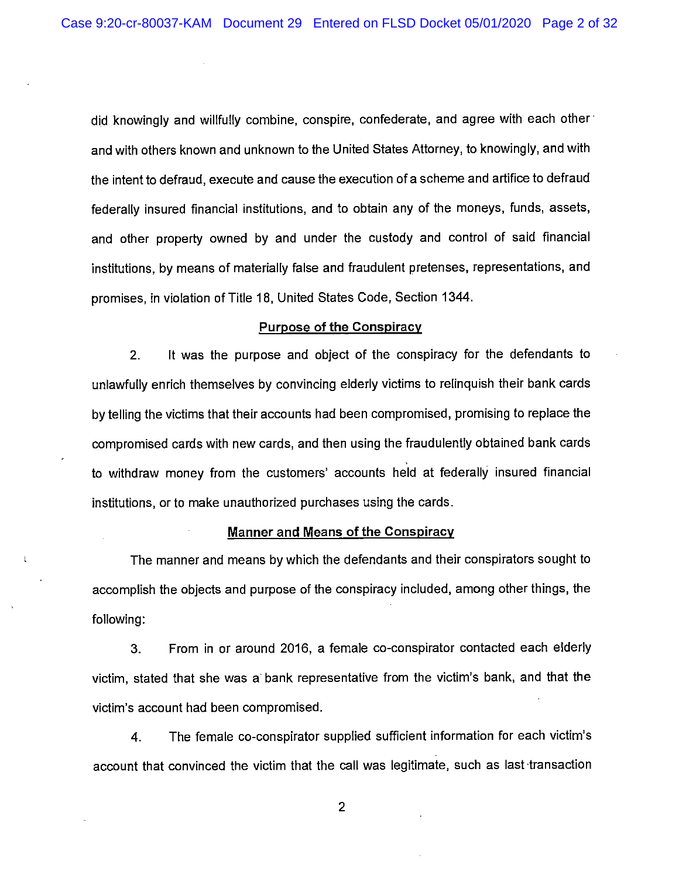did knowingly and willfully combine, conspire, confederate, and agree with each other· and with others known and unknown to the United States Attorney, to knowingly, and with the intent to defraud, execute and cause the execution of a scheme and artifice to defraud federally insured financial institutions, and to obtain any of the moneys, funds, assets, and other property owned by and under the custody and control of said financial institutions, by means of materially false and fraudulent pretenses, representations, and promises, in violation of Title 18, United States Code, Section 1344.

### **Purpose of the Conspiracy**

2. It was the purpose and object of the conspiracy for the defendants to unlawfully enrich themselves by convincing elderly victims to relinquish their bank cards by telling the victims that their accounts had been compromised, promising to replace the compromised cards with new cards, and then using the fraudulently obtained bank cards to withdraw money from the customers' accounts held at federally insured financial institutions, or to make unauthorized purchases using the cards.

#### **Manner and Means of the Conspiracy**

 $\mathfrak{t}$ 

The manner and means by which the defendants and their conspirators sought to accomplish the objects and purpose of the conspiracy included, among other things, the following:

3. From in or around 2016, a female co-conspirator contacted each elderly victim, stated that she was a bank representative from the victim's bank, and that the victim's account had been compromised.

4. The female co-conspirator supplied sufficient information for each victim's account that convinced the victim that the call was legitimate, such as last transaction

2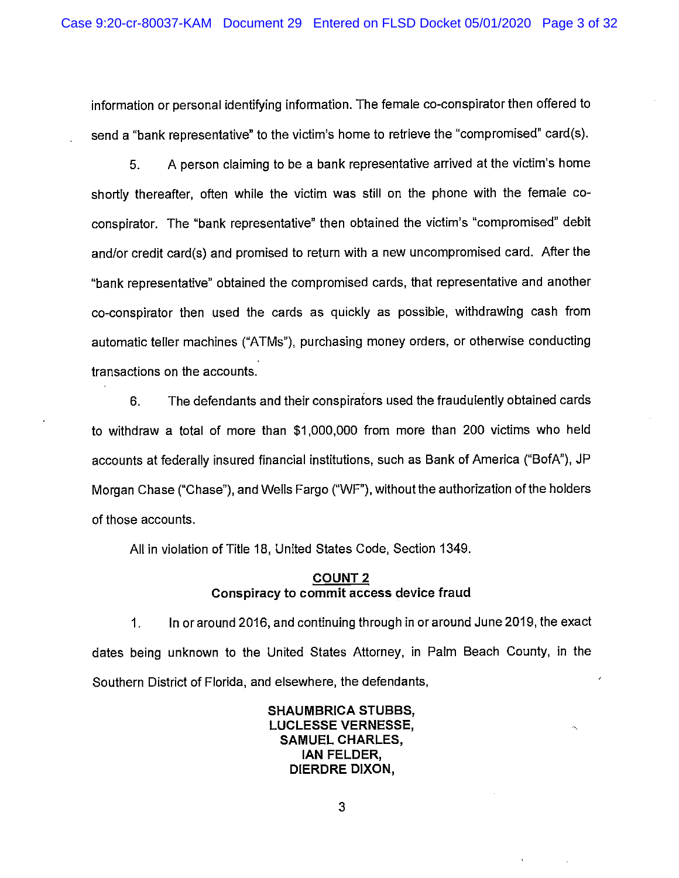information or personal identifying information. The female co-conspirator then offered to send a "bank representative" to the victim's home to retrieve the "compromised" card(s).

5. A person claiming to be a bank representative arrived at the victim's home shortly thereafter, often while the victim was still on the phone with the female coconspirator. The "bank representative" then obtained the victim's "compromised" debit and/or credit card(s) and promised to return with a new uncompromised card. After the "bank representative" obtained the compromised cards, that representative and another co-conspirator then used the cards as quickly as possible, withdrawing cash from automatic teller machines ("ATMs"), purchasing money orders, or otherwise conducting transactions on the accounts.

6. The defendants and their conspiraiors used the fraudulently obtained cards to withdraw a total of more than \$1,000,000 from more than 200 victims who held accounts at federally insured financial institutions, such as Bank of America ("BofA"), JP Morgan Chase ("Chase"), and Wells Fargo ("WF"), without the authorization of the holders of those accounts.

All in violation of Title 18, United States Code, Section 1349.

### **COUNT2 Conspiracy to commit access device fraud**

1. In or around 2016, and continuing through in or around June 2019, the exact dates being unknown to the United States Attorney, in Palm Beach County, in the Southern District of Florida, and elsewhere, the defendants,

> **SHAUMBRICA STUBBS, LUCLESSE VERNESSE, SAMUEL CHARLES, !AN FELDER, DIERDRE DIXON,**

> > 3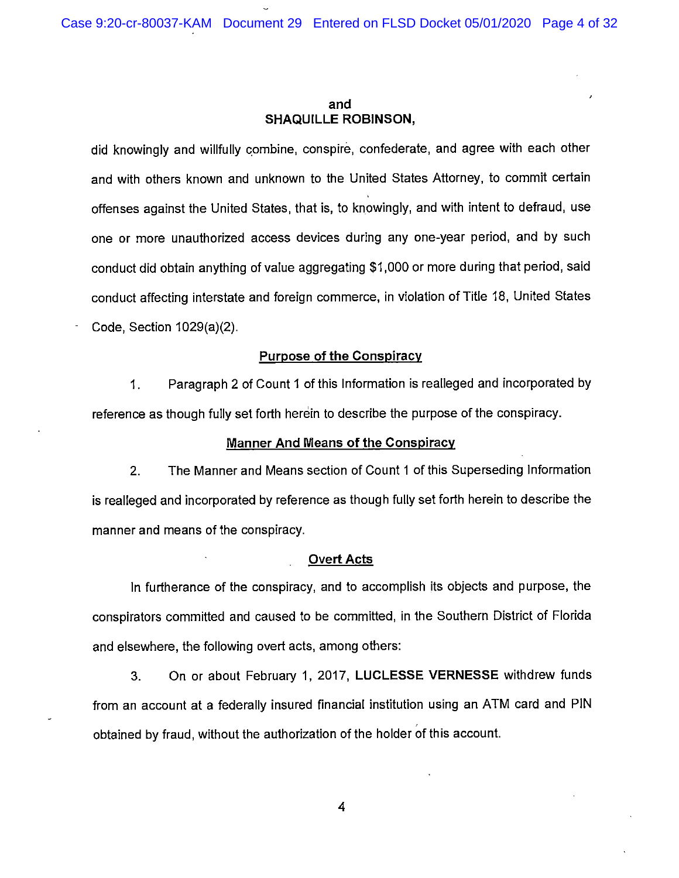#### **and SHAQUILLE ROBINSON,**

did knowingly and willfully combine, conspire, confederate, and agree with each other and with others known and unknown to the United States Attorney, to commit certain offenses against the United States, that is, to knowingly, and with intent to defraud, use one or more unauthorized access devices during any one-year period, and by such conduct did obtain anything of value aggregating \$1,000 or more during that period, said conduct affecting interstate and foreign commerce, in violation of Title 18, United States Code, Section 1029(a)(2).

#### **Purpose of the Conspiracy**

1. Paragraph 2 of Count 1 of this Information is realleged and incorporated by reference as though fully set forth herein to describe the purpose of the conspiracy.

#### **Manner And Means of the Conspiracy**

2. The Manner and Means section of Count 1 of this Superseding Information is realleged and incorporated by reference as though fully set forth herein to describe the manner and means of the conspiracy.

#### **Overt Acts**

In furtherance of the conspiracy, and to accomplish its objects and purpose, the conspirators committed and caused to be committed, in the Southern District of Florida and elsewhere, the following overt acts, among others:

3. On or about February 1, 2017, **LUCLESSE VERNESSE** withdrew funds from an account at a federally insured financial institution using an ATM card and PIN obtained by fraud, without the authorization of the holder of this account.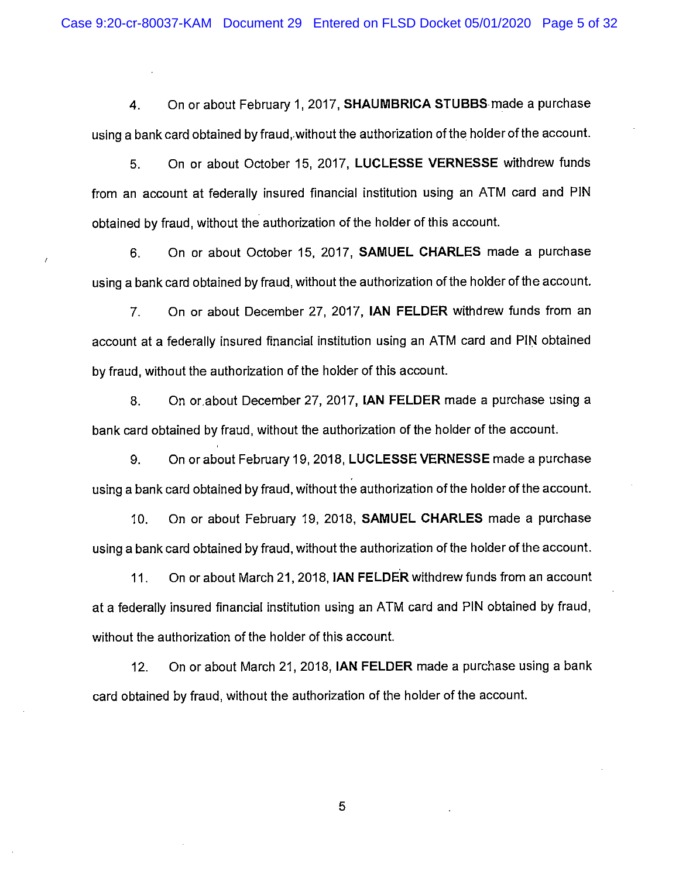**4.** On or about February 1, 2017, **SHAUMBRICA STUBBS** made a purchase using a bank card obtained by fraud,.without the authorization of the holder of the account.

5. On or about October 15, 2017, **LUCLESSE VERNESSE** withdrew funds from an account at federally insured financial institution using an ATM card and PIN obtained by fraud, without the authorization of the holder of this account.

6. On or about October 15, 2017, **SAMUEL CHARLES** made a purchase using a bank card obtained by fraud, without the authorization of the holder of the account.

7. On or about December 27, 2017, **IAN FELDER** withdrew funds from an account at a federally insured financial institution using an ATM card and PIN obtained by fraud, without the authorization of the holder of this account.

8. On or,about December 27, 2017, **IAN FELDER** made a purchase using a bank card obtained by fraud, without the authorization of the holder of the account.

9. On or about February 19, 2018, **LUCLESSE VERNESSE** made a purchase using a bank card obtained by fraud, without the authorization of the holder of the account.

10. On or about February 19, 2018, **SAMUEL CHARLES** made a purchase using a bank card obtained by fraud, without the authorization of the holder of the account.

11. On or about March 21, 2018, **IAN FELDER** withdrew funds from an account at a federally insured financial institution using an ATM card and PIN obtained by fraud, without the authorization of the holder of this account.

12. On or about March 21, 2018, **IAN FELDER** made a purchase using a bank card obtained by fraud, without the authorization of the holder of the account.

5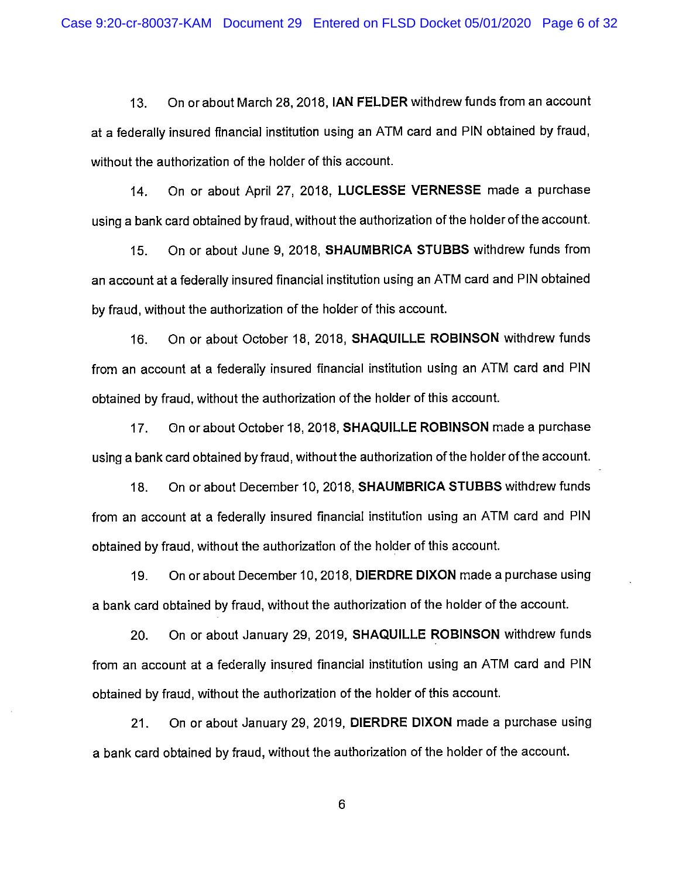13. On or about March 28, 2018, **IAN FELDER** withdrew funds from an account at a federally insured financial institution using an ATM card and PIN obtained by fraud, without the authorization of the holder of this account.

14. On or about April 27, 2018, **LUCLESSE VERNESSE** made a purchase using a bank card obtained by fraud, without the authorization of the holder of the account.

15. On or about June 9, 2018, **SHAUMBRICA STUBBS** withdrew funds from an account at a federally insured financial institution using an ATM card and PIN obtained by fraud, without the authorization of the holder of this account.

16. On or about October 18, 2018, **SHAQUILLE ROBINSON** withdrew funds from an account at a federally insured financial institution using an ATM card and PIN obtained by fraud, without the authorization of the holder of this account.

17. On or about October 18, 2018, **SHAQUILLE ROBINSON** made a purchase using a bank card obtained by fraud, without the authorization of the holder of the account.

18. On or about December 10, 2018, **SHAUMBRICA STUBBS** withdrew funds from an account at a federally insured financial institution using an ATM card and PIN obtained by fraud, without the authorization of the holder of this account.

19. On or about December 10, 2018, **DIERDRE DIXON** made a purchase using a bank card obtained by fraud, without the authorization of the holder of the account.

20. On or about January 29, 2019, **SHAQUILLE ROBINSON** withdrew funds from an account at a federally insured financial institution using an ATM card and PIN obtained by fraud, without the authorization of the holder of this account.

21. On or about January 29, 2019, **DIERDRE DIXON** made a purchase using a bank card obtained by fraud, without the authorization of the holder of the account.

6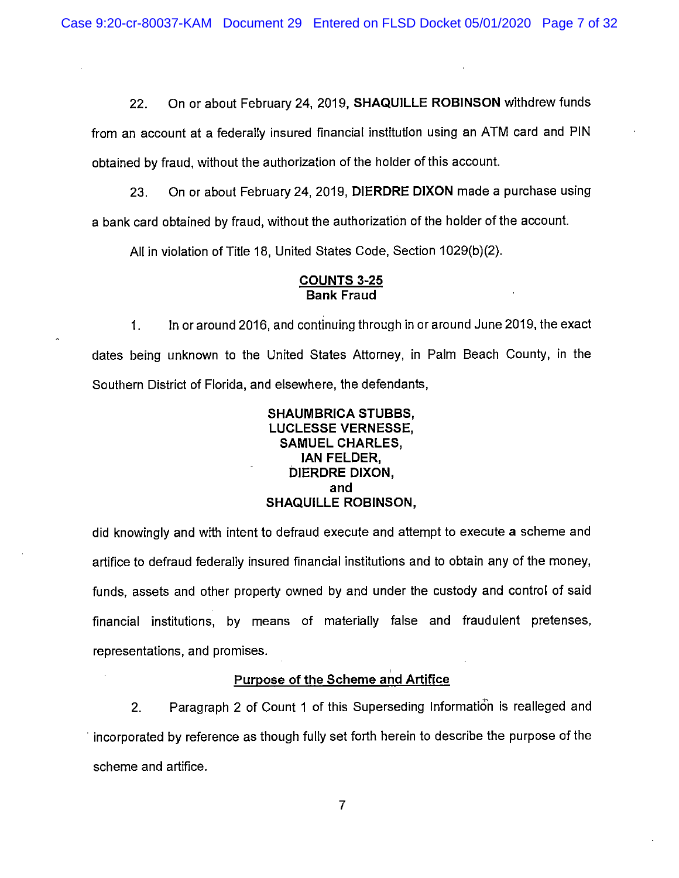22. On or about February 24, 2019, **SHAQUILLE ROBINSON** withdrew funds

from an account at a federally insured financial institution using an ATM card and PIN obtained by fraud, without the authorization of the holder of this account.

23. On or about February 24, 2019, **DIERDRE DIXON** made a purchase using a bank card obtained by fraud, without the authorization of the holder of the account.

All in violation of Title 18, United States Code, Section 1029(b)(2).

#### **COUNTS 3-25 Bank Fraud**

1. In or around 2016, and continuing through in or around June 2019, the exact dates being unknown to the United States Attorney, in Palm Beach County, in the Southern District of Florida, and elsewhere, the defendants,

### **SHAUMBRICA STUBBS, LUCLESSE VERNESSE, SAMUEL CHARLES, JAN FELDER, DIERDRE DIXON, and SHAQUILLE ROBINSON,**

did knowingly and with intent to defraud execute and attempt to execute a scheme and artifice to defraud federally insured financial institutions and to obtain any of the money, funds, assets and other property owned by and under the custody and control of said financial institutions, by means of materially false and fraudulent pretenses, representations, and promises.

# ' **Purpose of the Scheme and Artifice**

2. Paragraph 2 of Count 1 of this Superseding Information is realleged and · incorporated by reference as though fully set forth herein to describe the purpose of the scheme and artifice.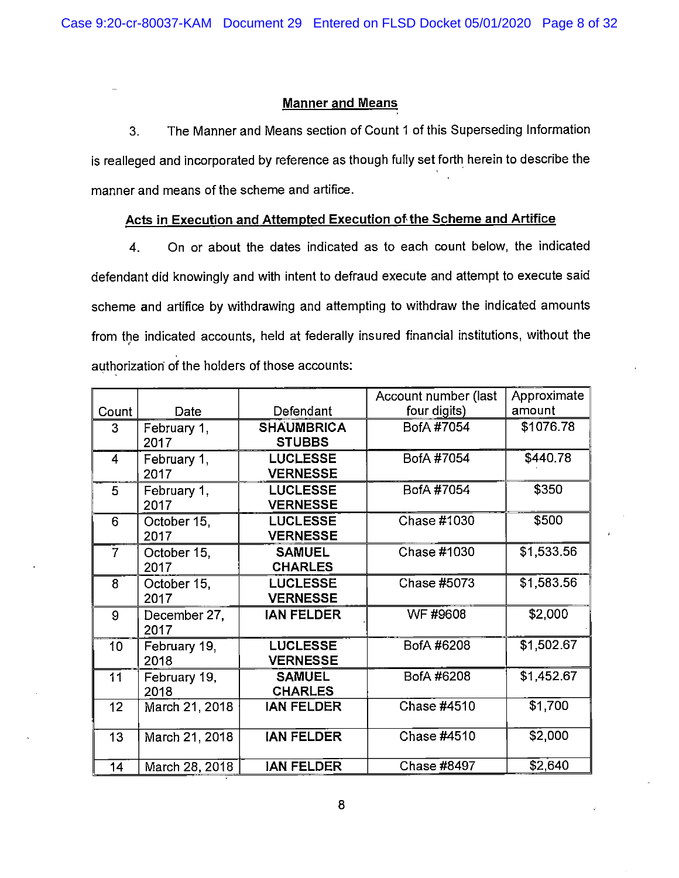#### **Manner and Means**

3. The Manner and Means section of Count 1 of this Superseding Information is realleged and incorporated by reference as though fully set forth herein to describe the manner and means of the scheme and artifice.

# **Acts in Execution and Attempted Execution of the Scheme and Artifice**

4. On or about the dates indicated as to each count below, the indicated defendant did knowingly and with intent to defraud execute and attempt to execute said scheme and artifice by withdrawing and attempting to withdraw the indicated amounts from the indicated accounts, held at federally insured financial institutions, without the  $\epsilon$ authorization of the holders of those accounts:

|                 |                |                   | Account number (last | Approximate |
|-----------------|----------------|-------------------|----------------------|-------------|
| Count           | Date           | Defendant         | four digits)         | amount      |
| 3               | February 1,    | <b>SHAUMBRICA</b> | BofA #7054           | \$1076.78   |
|                 | 2017           | <b>STUBBS</b>     |                      |             |
| 4               | February 1,    | <b>LUCLESSE</b>   | BofA #7054           | \$440.78    |
|                 | 2017           | <b>VERNESSE</b>   |                      |             |
| 5               | February 1,    | <b>LUCLESSE</b>   | BofA #7054           | \$350       |
|                 | 2017           | <b>VERNESSE</b>   |                      |             |
| 6               | October 15.    | <b>LUCLESSE</b>   | Chase #1030          | \$500       |
|                 | 2017           | <b>VERNESSE</b>   |                      |             |
| $\overline{7}$  | October 15,    | <b>SAMUEL</b>     | Chase #1030          | \$1,533.56  |
|                 | 2017           | <b>CHARLES</b>    |                      |             |
| 8               | October 15,    | <b>LUCLESSE</b>   | Chase #5073          | \$1,583.56  |
|                 | 2017           | <b>VERNESSE</b>   |                      |             |
| 9               | December 27,   | <b>IAN FELDER</b> | WF #9608             | \$2,000     |
|                 | 2017           |                   |                      |             |
| 10 <sub>1</sub> | February 19,   | <b>LUCLESSE</b>   | BofA #6208           | \$1,502.67  |
|                 | 2018           | <b>VERNESSE</b>   |                      |             |
| 11              | February 19,   | <b>SAMUEL</b>     | BofA #6208           | \$1,452.67  |
|                 | 2018           | <b>CHARLES</b>    |                      |             |
| 12 <sub>1</sub> | March 21, 2018 | <b>IAN FELDER</b> | Chase #4510          | \$1,700     |
|                 |                |                   |                      |             |
| 13 <sub>1</sub> | March 21, 2018 | <b>IAN FELDER</b> | Chase #4510          | \$2,000     |
|                 |                |                   |                      |             |
| 14              | March 28, 2018 | <b>JAN FELDER</b> | Chase #8497          | \$2,640     |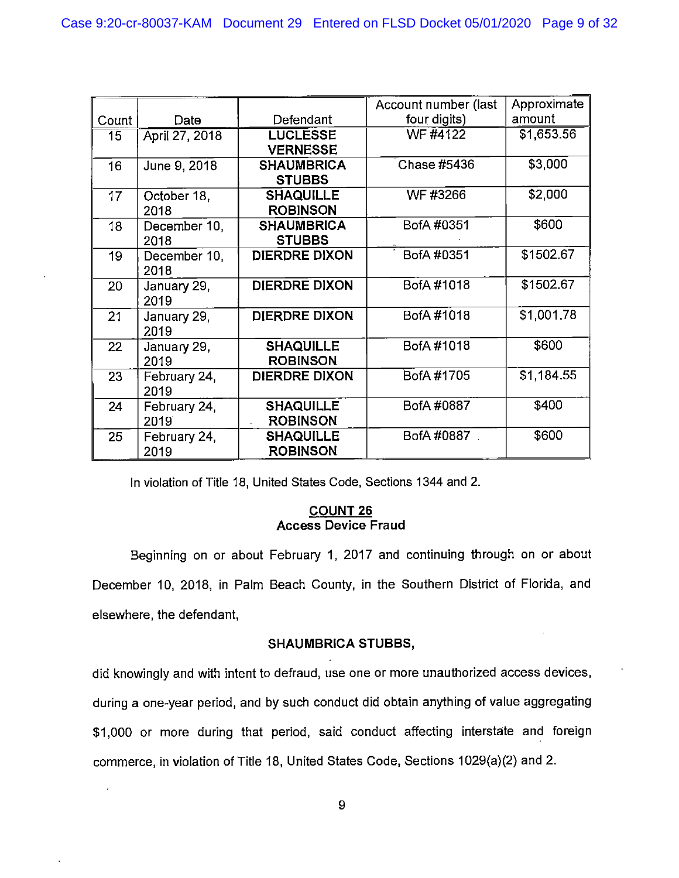|                 |                |                      | Account number (last | Approximate |
|-----------------|----------------|----------------------|----------------------|-------------|
| Count           | Date           | Defendant            | four digits)         | amount      |
| 15 <sub>1</sub> | April 27, 2018 | <b>LUCLESSE</b>      | <b>WF #4122</b>      | \$1,653.56  |
|                 |                | <b>VERNESSE</b>      |                      |             |
| 16              | June 9, 2018   | <b>SHAUMBRICA</b>    | Chase #5436          | \$3,000     |
|                 |                | <b>STUBBS</b>        |                      |             |
| 17              | October 18.    | <b>SHAQUILLE</b>     | WF #3266             | \$2,000     |
|                 | 2018           | <b>ROBINSON</b>      |                      |             |
| 18              | December 10,   | <b>SHAUMBRICA</b>    | BofA #0351           | \$600       |
|                 | 2018           | <b>STUBBS</b>        |                      |             |
| 19              | December 10,   | <b>DIERDRE DIXON</b> | BofA #0351           | \$1502.67   |
|                 | 2018           |                      |                      |             |
| 20              | January 29,    | <b>DIERDRE DIXON</b> | BofA #1018           | \$1502.67   |
|                 | 2019           |                      |                      |             |
| 21              | January 29,    | <b>DIERDRE DIXON</b> | BofA #1018           | \$1,001.78  |
|                 | 2019           |                      |                      |             |
| 22              | January 29,    | <b>SHAQUILLE</b>     | BofA #1018           | \$600       |
|                 | 2019           | <b>ROBINSON</b>      |                      |             |
| 23              | February 24,   | <b>DIERDRE DIXON</b> | BofA #1705           | \$1,184.55  |
|                 | 2019           |                      |                      |             |
| 24              | February 24,   | <b>SHAQUILLE</b>     | BofA #0887           | \$400       |
|                 | 2019           | <b>ROBINSON</b>      |                      |             |
| 25              | February 24,   | <b>SHAQUILLE</b>     | BofA #0887           | \$600       |
|                 | 2019           | <b>ROBINSON</b>      |                      |             |

In violation of Title 18, United States Code, Sections 1344 and 2.

# **COUNT 26 Access Device Fraud**

Beginning on or about February 1, 2017 and continuing through on or about December 10, 2018, in Palm Beach County, in the Southern District of Florida, and elsewhere, the defendant,

### **SHAUMBRICA STUBBS,**

did knowingly and with intent to defraud, use one or more unauthorized access devices, during a one-year period, and by such conduct did obtain anything of value aggregating \$1,000 or more during that period, said conduct affecting interstate and foreign commerce, in violation of Title 18, United States Code, Sections 1029(a)(2) and 2.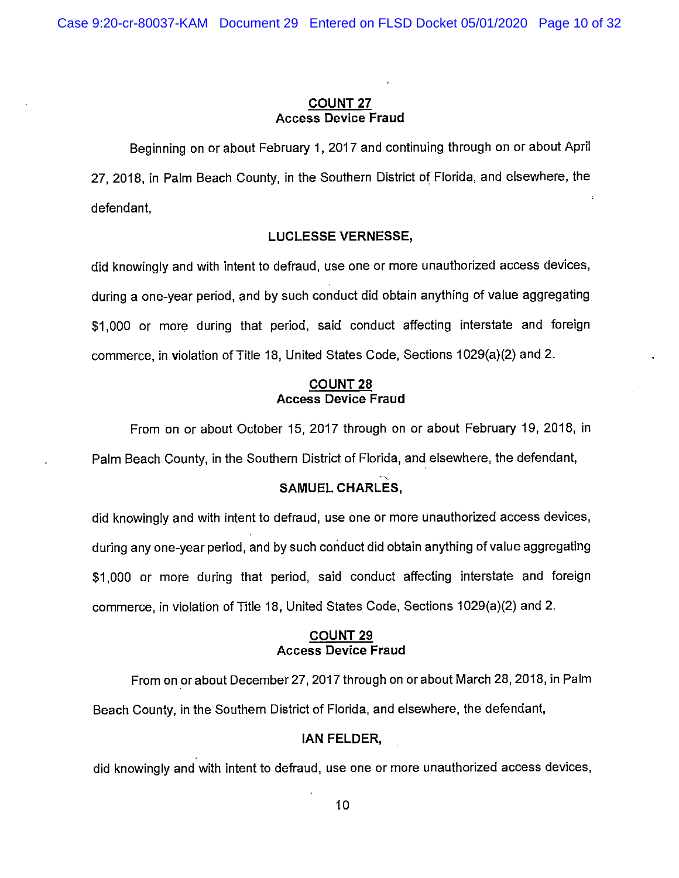#### **COUNT 27 Access Device Fraud**

Beginning on or about February 1, 2017 and continuing through on or about April 27, 2018, in Palm Beach County, in the Southern District of Florida, and elsewhere, the defendant,

#### **LUCLESSE VERNESSE,**

did knowingly and with intent to defraud, use one or more unauthorized access devices, during a one-year period, and by such conduct did obtain anything of value aggregating \$1,000 or more during that period, said conduct affecting interstate and foreign commerce, in violation of Title 18, United States Code, Sections 1029(a)(2) and 2.

#### **COUNT 28 Access Device Fraud**

From on or about October 15, 2017 through on or about February 19, 2018, in Palm Beach County, in the Southern District of Florida, and elsewhere, the defendant,

# **SAMUEL CHARLES,**

did knowingly and with intent to defraud, use one or more unauthorized access devices, during any one-year period, and by such conduct did obtain anything of value aggregating \$1,000 or more during that period, said conduct affecting interstate and foreign commerce, in violation of Title 18, United States Code, Sections 1029(a)(2) and 2.

#### **COUNT 29 Access Device Fraud**

From on or about December 27, 2017 through on or about March 28, 2018, in Palm Beach County, in the Southern District of Florida, and elsewhere, the defendant,

### **IAN FELDER,**

did knowingly and with intent to defraud, use one or more unauthorized access devices,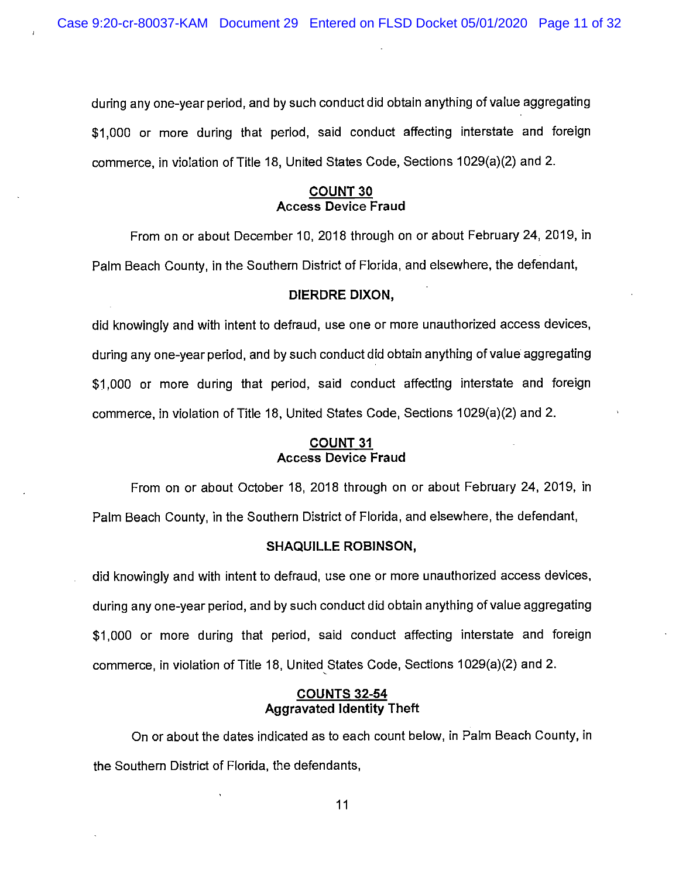during any one-year period, and by such conduct did obtain anything of value aggregating \$1,000 or more during that period, said conduct affecting interstate and foreign commerce, in violation of Title 18, United States Code, Sections 1029(a)(2) and 2.

### **COUNT 30 Access Device Fraud**

From on or about December 10, 2018 through on or about February 24, 2019, in Palm Beach County, in the Southern District of Florida, and elsewhere, the defendant,

#### **DIERDRE DIXON,**

did knowingly and with intent to defraud, use one or more unauthorized access devices, during any one-year period, and by such conduct did obtain anything of value aggregating \$1,000 or more during that period, said conduct affecting interstate and foreign commerce, in violation of Title 18, United States Code, Sections 1029(a)(2) and 2.

#### **COUNT 31 Access Device Fraud**

From on or about October 18, 2018 through on or about February 24, 2019, in Palm Beach County, in the Southern District of Florida, and elsewhere, the defendant,

#### **SHAQUILLE ROBINSON,**

did knowingly and with intent to defraud, use one or more unauthorized access devices, during any one-year period, and by such conduct did obtain anything of value aggregating \$1,000 or more during that period, said conduct affecting interstate and foreign commerce, in violation of Title 18, United, States Code, Sections 1029(a)(2) and 2.

#### **COUNTS 32-54 Aggravated Identity Theft**

On or about the dates indicated as to each count below, in Palm Beach County, in the Southern District of Florida, the defendants,

11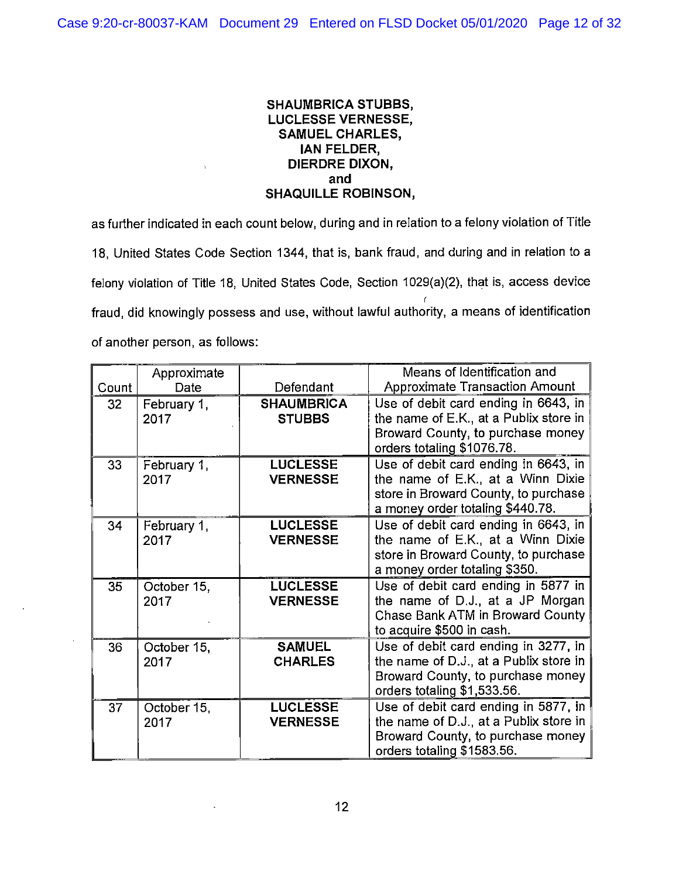### **SHAUMBRICA STUBBS, LUCLESSE VERNESSE, SAMUEL CHARLES, IAN FELDER, DIERDRE DIXON, and SHAQUILLE ROBINSON,**

as further indicated in each count below, during and in relation to a felony violation of Title 18, United States Code Section 1344, that is, bank fraud, and during and in relation to a felony violation of Title 18, United States Code, Section 1029(a)(2), that is, access device r fraud, did knowingly possess and use, without lawful authority, a means of identification of another person, as follows:

|       | Approximate |                   | Means of Identification and            |
|-------|-------------|-------------------|----------------------------------------|
| Count | Date        | Defendant         | <b>Approximate Transaction Amount</b>  |
| 32    | February 1, | <b>SHAUMBRICA</b> | Use of debit card ending in 6643, in   |
|       | 2017        | <b>STUBBS</b>     | the name of E.K., at a Publix store in |
|       |             |                   | Broward County, to purchase money      |
|       |             |                   | orders totaling \$1076.78.             |
| 33    | February 1, | <b>LUCLESSE</b>   | Use of debit card ending in 6643, in   |
|       | 2017        | <b>VERNESSE</b>   | the name of E.K., at a Winn Dixie      |
|       |             |                   | store in Broward County, to purchase   |
|       |             |                   | a money order totaling \$440.78.       |
| 34    | February 1, | <b>LUCLESSE</b>   | Use of debit card ending in 6643, in   |
|       | 2017        | <b>VERNESSE</b>   | the name of E.K., at a Winn Dixie      |
|       |             |                   | store in Broward County, to purchase   |
|       |             |                   | a money order totaling \$350.          |
| 35    | October 15, | <b>LUCLESSE</b>   | Use of debit card ending in 5877 in    |
|       | 2017        | <b>VERNESSE</b>   | the name of D.J., at a JP Morgan       |
|       |             |                   | Chase Bank ATM in Broward County       |
|       |             |                   | to acquire \$500 in cash.              |
| 36    | October 15, | <b>SAMUEL</b>     | Use of debit card ending in 3277, in   |
|       | 2017        | <b>CHARLES</b>    | the name of D.J., at a Publix store in |
|       |             |                   | Broward County, to purchase money      |
|       |             |                   | orders totaling \$1,533.56.            |
| 37    | October 15, | <b>LUCLESSE</b>   | Use of debit card ending in 5877, in   |
|       | 2017        | <b>VERNESSE</b>   | the name of D.J., at a Publix store in |
|       |             |                   | Broward County, to purchase money      |
|       |             |                   | orders totaling \$1583.56.             |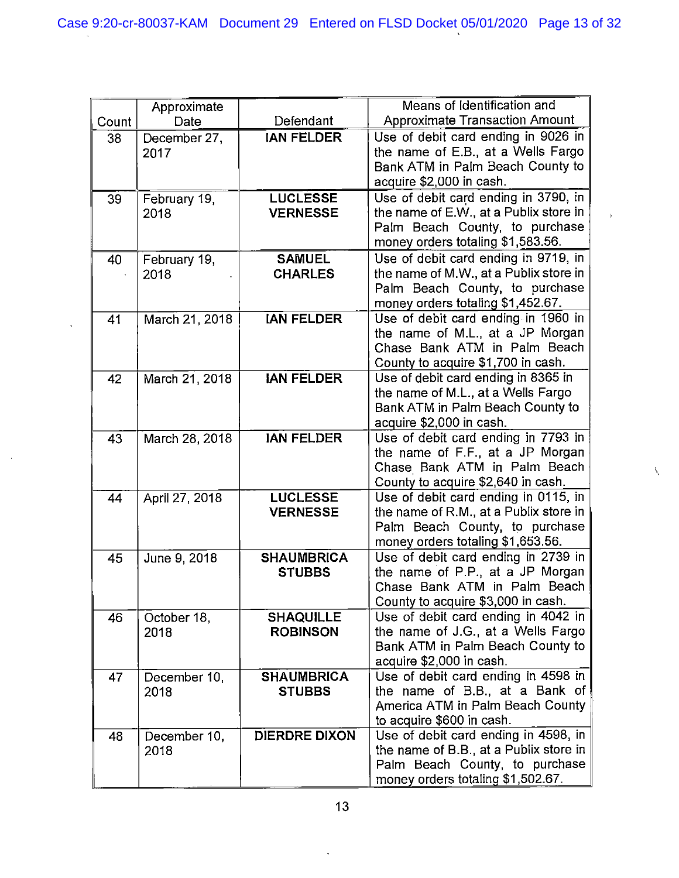| Means of Identification and<br>Approximate<br><b>Approximate Transaction Amount</b><br>Defendant<br>Count<br>Date<br>Use of debit card ending in 9026 in<br><b>IAN FELDER</b><br>38<br>December 27,<br>the name of E.B., at a Wells Fargo<br>2017<br>Bank ATM in Palm Beach County to<br>acquire \$2,000 in cash.<br>Use of debit card ending in 3790, in<br><b>LUCLESSE</b><br>February 19,<br>39<br>the name of E.W., at a Publix store in<br><b>VERNESSE</b><br>2018 |  |
|-------------------------------------------------------------------------------------------------------------------------------------------------------------------------------------------------------------------------------------------------------------------------------------------------------------------------------------------------------------------------------------------------------------------------------------------------------------------------|--|
|                                                                                                                                                                                                                                                                                                                                                                                                                                                                         |  |
|                                                                                                                                                                                                                                                                                                                                                                                                                                                                         |  |
|                                                                                                                                                                                                                                                                                                                                                                                                                                                                         |  |
|                                                                                                                                                                                                                                                                                                                                                                                                                                                                         |  |
|                                                                                                                                                                                                                                                                                                                                                                                                                                                                         |  |
|                                                                                                                                                                                                                                                                                                                                                                                                                                                                         |  |
|                                                                                                                                                                                                                                                                                                                                                                                                                                                                         |  |
| Palm Beach County, to purchase                                                                                                                                                                                                                                                                                                                                                                                                                                          |  |
| money orders totaling \$1,583.56.                                                                                                                                                                                                                                                                                                                                                                                                                                       |  |
| Use of debit card ending in 9719, in<br><b>SAMUEL</b><br>40<br>February 19,                                                                                                                                                                                                                                                                                                                                                                                             |  |
| the name of M.W., at a Publix store in<br><b>CHARLES</b><br>2018                                                                                                                                                                                                                                                                                                                                                                                                        |  |
| Palm Beach County, to purchase                                                                                                                                                                                                                                                                                                                                                                                                                                          |  |
| money orders totaling \$1,452.67.                                                                                                                                                                                                                                                                                                                                                                                                                                       |  |
| Use of debit card ending in 1960 in<br><b>IAN FELDER</b><br>March 21, 2018<br>41                                                                                                                                                                                                                                                                                                                                                                                        |  |
| the name of M.L., at a JP Morgan                                                                                                                                                                                                                                                                                                                                                                                                                                        |  |
| Chase Bank ATM in Palm Beach                                                                                                                                                                                                                                                                                                                                                                                                                                            |  |
| County to acquire \$1,700 in cash.                                                                                                                                                                                                                                                                                                                                                                                                                                      |  |
| Use of debit card ending in 8365 in<br><b>JAN FELDER</b><br>March 21, 2018<br>42<br>the name of M.L., at a Wells Fargo                                                                                                                                                                                                                                                                                                                                                  |  |
| Bank ATM in Palm Beach County to                                                                                                                                                                                                                                                                                                                                                                                                                                        |  |
| acquire \$2,000 in cash.                                                                                                                                                                                                                                                                                                                                                                                                                                                |  |
| Use of debit card ending in 7793 in<br><b>JAN FELDER</b><br>43<br>March 28, 2018                                                                                                                                                                                                                                                                                                                                                                                        |  |
| the name of F.F., at a JP Morgan                                                                                                                                                                                                                                                                                                                                                                                                                                        |  |
| Chase Bank ATM in Palm Beach                                                                                                                                                                                                                                                                                                                                                                                                                                            |  |
| County to acquire \$2,640 in cash.                                                                                                                                                                                                                                                                                                                                                                                                                                      |  |
| Use of debit card ending in 0115, in<br><b>LUCLESSE</b><br>April 27, 2018<br>44                                                                                                                                                                                                                                                                                                                                                                                         |  |
| the name of R.M., at a Publix store in<br><b>VERNESSE</b>                                                                                                                                                                                                                                                                                                                                                                                                               |  |
| Palm Beach County, to purchase                                                                                                                                                                                                                                                                                                                                                                                                                                          |  |
| money orders totaling \$1,653.56.                                                                                                                                                                                                                                                                                                                                                                                                                                       |  |
| Use of debit card ending in 2739 in<br><b>SHAUMBRICA</b><br>June 9, 2018<br>45                                                                                                                                                                                                                                                                                                                                                                                          |  |
| the name of P.P., at a JP Morgan<br><b>STUBBS</b>                                                                                                                                                                                                                                                                                                                                                                                                                       |  |
| Chase Bank ATM in Palm Beach                                                                                                                                                                                                                                                                                                                                                                                                                                            |  |
| County to acquire \$3,000 in cash.                                                                                                                                                                                                                                                                                                                                                                                                                                      |  |
| Use of debit card ending in 4042 in<br><b>SHAQUILLE</b><br>46<br>October 18,                                                                                                                                                                                                                                                                                                                                                                                            |  |
| the name of J.G., at a Wells Fargo<br><b>ROBINSON</b><br>2018                                                                                                                                                                                                                                                                                                                                                                                                           |  |
| Bank ATM in Palm Beach County to                                                                                                                                                                                                                                                                                                                                                                                                                                        |  |
| acquire \$2,000 in cash.<br>Use of debit card ending in 4598 in<br><b>SHAUMBRICA</b><br>47                                                                                                                                                                                                                                                                                                                                                                              |  |
| December 10,<br>the name of B.B., at a Bank of<br><b>STUBBS</b><br>2018                                                                                                                                                                                                                                                                                                                                                                                                 |  |
| America ATM in Palm Beach County                                                                                                                                                                                                                                                                                                                                                                                                                                        |  |
| to acquire \$600 in cash.                                                                                                                                                                                                                                                                                                                                                                                                                                               |  |
| Use of debit card ending in 4598, in<br><b>DIERDRE DIXON</b><br>48<br>December 10,                                                                                                                                                                                                                                                                                                                                                                                      |  |
| the name of B.B., at a Publix store in<br>2018                                                                                                                                                                                                                                                                                                                                                                                                                          |  |
| Palm Beach County, to purchase                                                                                                                                                                                                                                                                                                                                                                                                                                          |  |
| money orders totaling \$1,502.67.                                                                                                                                                                                                                                                                                                                                                                                                                                       |  |

 $\bar{\mathcal{A}}$ 

 $\sim$ 

 $\downarrow$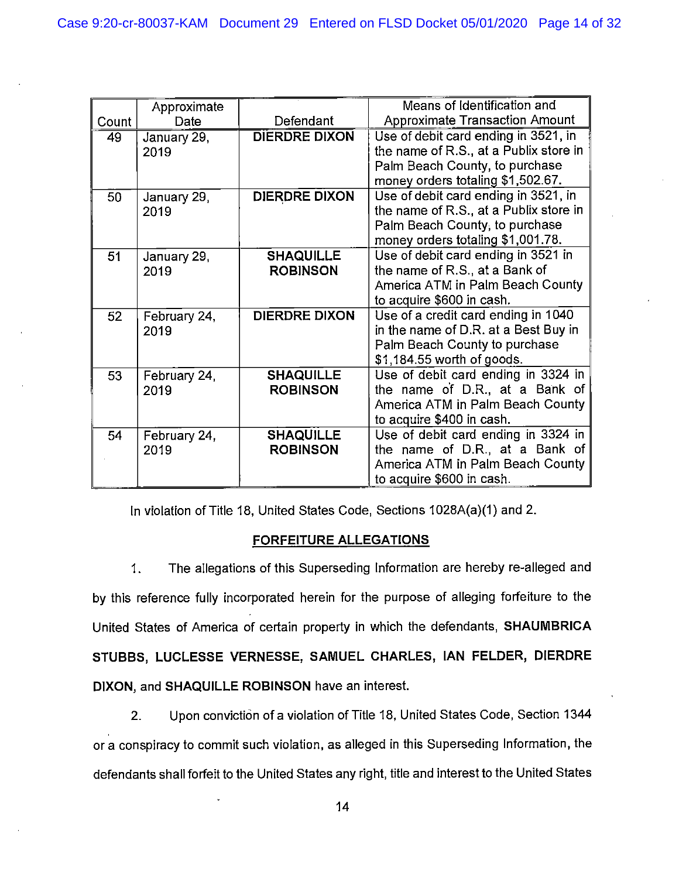|       | Approximate  |                      | Means of Identification and            |
|-------|--------------|----------------------|----------------------------------------|
| Count | Date         | Defendant            | <b>Approximate Transaction Amount</b>  |
| 49    | January 29,  | <b>DIERDRE DIXON</b> | Use of debit card ending in 3521, in   |
|       | 2019         |                      | the name of R.S., at a Publix store in |
|       |              |                      | Palm Beach County, to purchase         |
|       |              |                      | money orders totaling \$1,502.67.      |
| 50    | January 29,  | <b>DIERDRE DIXON</b> | Use of debit card ending in 3521, in   |
|       | 2019         |                      | the name of R.S., at a Publix store in |
|       |              |                      | Palm Beach County, to purchase         |
|       |              |                      | money orders totaling \$1,001.78.      |
| 51    | January 29,  | <b>SHAQUILLE</b>     | Use of debit card ending in 3521 in    |
|       | 2019         | <b>ROBINSON</b>      | the name of R.S., at a Bank of         |
|       |              |                      | America ATM in Palm Beach County       |
|       |              |                      | to acquire \$600 in cash.              |
| 52    | February 24, | <b>DIERDRE DIXON</b> | Use of a credit card ending in 1040    |
|       | 2019         |                      | in the name of D.R. at a Best Buy in   |
|       |              |                      | Palm Beach County to purchase          |
|       |              |                      | \$1,184.55 worth of goods.             |
| 53    | February 24, | <b>SHAQUILLE</b>     | Use of debit card ending in 3324 in    |
|       | 2019         | <b>ROBINSON</b>      | the name of D.R., at a Bank of         |
|       |              |                      | America ATM in Palm Beach County       |
|       |              |                      | to acquire \$400 in cash.              |
| 54    | February 24, | <b>SHAQUILLE</b>     | Use of debit card ending in 3324 in    |
|       | 2019         | <b>ROBINSON</b>      | the name of D.R., at a Bank of         |
|       |              |                      | America ATM in Palm Beach County       |
|       |              |                      | to acquire \$600 in cash.              |

In violation of Title 18, United States Code, Sections 1028A(a)(1) and 2.

### **FORFEITURE ALLEGATIONS**

1. The allegations of this Superseding Information are hereby re-alleged and by this reference fully incorporated herein for the purpose of alleging forfeiture to the United States of America of certain property in which the defendants, **SHAUMBRICA STUBBS, LUCLESSE VERNESSE, SAMUEL CHARLES, IAN FELDER, DIERDRE DIXON,** and **SHAQUILLE ROBINSON** have an interest.

2. Upon conviction of a violation of Title 18, United States Code, Section 1344 or a conspiracy to commit such violation, as alleged in this Superseding Information, the defendants shall forfeit to the United States any right, title and interest to the United States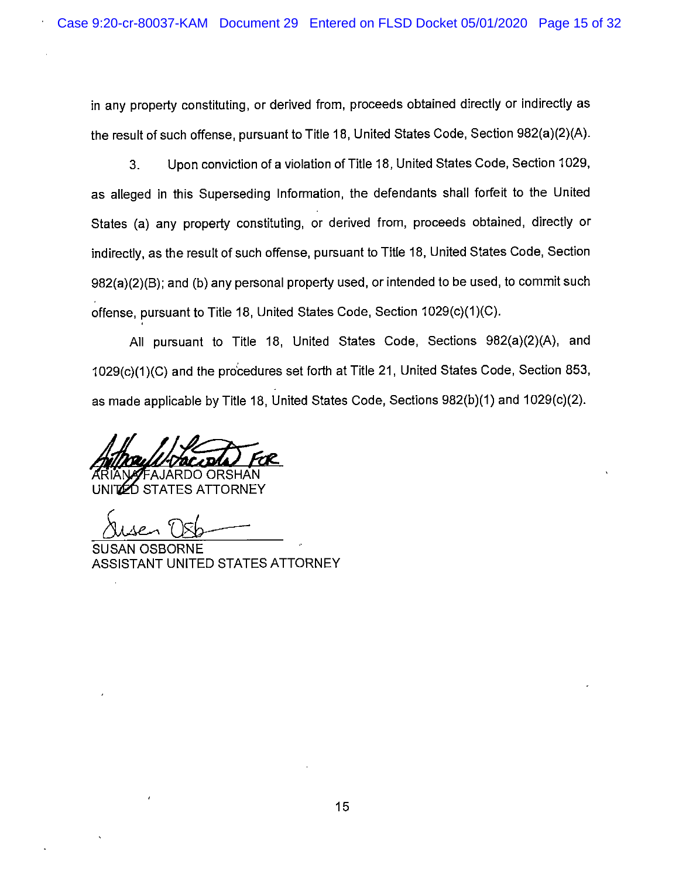in any property constituting, or derived from, proceeds obtained directly or indirectly as the result of such offense, pursuant to Title 18, United States Code, Section 982(a)(2)(A).

3. Upon conviction of a violation of Title 18, United States Code, Section 1029, as alleged in this Superseding Information, the defendants shall forfeit to the United States (a) any property constituting, or derived from, proceeds obtained, directly or indirectly, as the result of such offense, pursuant to Title 18, United States Code, Section 982(a)(2)(B); and (b) any personal property used, or intended to be used, to commit such offense, pursuant to Title 18, United States Code, Section 1029(c)(1)(C).

All pursuant to Title 18, United States Code, Sections 982(a)(2)(A), and 1029(c)(1 )(C) and the pro'cedures set forth at Title 21, United States Code, Section 853, as made applicable by Title 18, United States Code, Sections 982(b)(1) and 1029(c)(2).

**ORSHAN** 

STATES ATTORNEY

OSBORNE ASSISTANT UNITED STATES ATTORNEY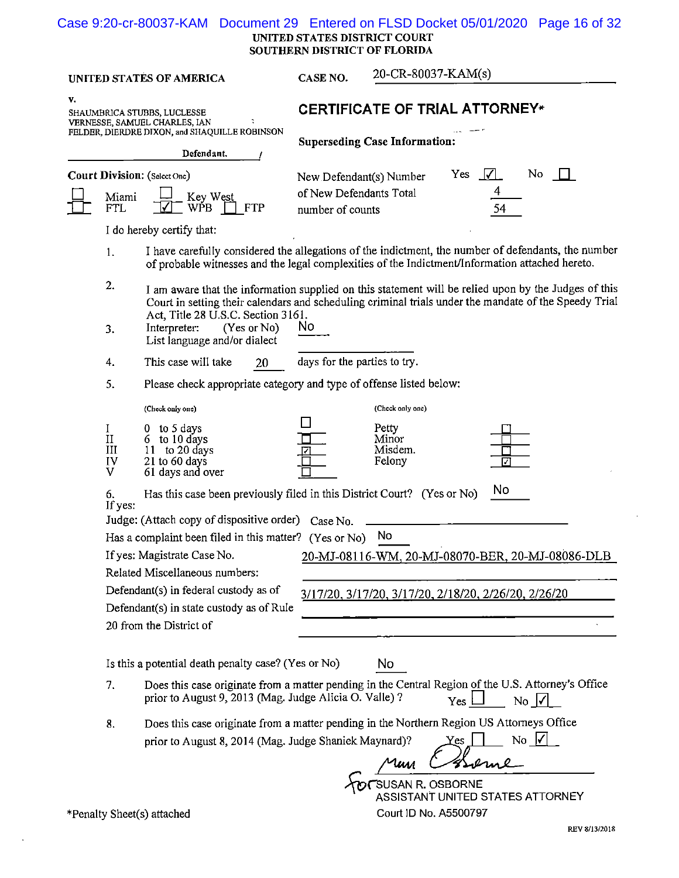#### UNITED STATES DISTRICT COURT SOUTHERN DISTRICT OF FLORIDA Case 9:20-cr-80037-KAM Document 29 Entered on FLSD Docket 05/01/2020 Page 16 of 32

UNITED STATES OF AMERICA **CASE NO.** 20-CR-80037-KAM(s)

**Superseding Case Information:** 

**v.** 

| SHAUMBRICA STUBBS, LUCLESSE                   |   |
|-----------------------------------------------|---|
| VERNESSE, SAMUEL CHARLES, IAN                 | ÷ |
| FELDER, DIERDRE DIXON, and SHAQUILLE ROBINSON |   |

# SHAUMBRICA STUBBS, LUCLESSE **CERTIFICATE OF TRIAL ATTORNEY**\*

|   | Defendant.                                                                                      |                                                                        |                              |     |
|---|-------------------------------------------------------------------------------------------------|------------------------------------------------------------------------|------------------------------|-----|
| 묘 | <b>Court Division:</b> (Select One)<br>Miami $\frac{\Box}{\Box}$ Key West<br>FTL WPB $\Box$ FTP | New Defendant(s) Number<br>of New Defendants Total<br>number of counts | Yes $\lfloor \sqrt{\rfloor}$ | No. |
|   |                                                                                                 |                                                                        |                              |     |

I do hereby certify tbat:

- I. I have carefully considered the allegations of the indictment, tbe number of defendants, the number of probable witnesses and the legal complexities of the Indictment/Information attached hereto.
- 2. I am aware that the information supplied on this statement will be relied upon by the Judges of this Court in setting their calendars and scheduling criminal trials under the mandate of the Speedy Trial Act, Title 28 U.S.C. Section 3161.

(Check only one) (Check only one)

- 3. Interpreter: (Yes or No) NO List language and/or dialect
- 4. This case will take 20 days for the parties to try.
- 5. Please check appropriate category and type of offense listed below:

| (Check only one) |  |
|------------------|--|
|------------------|--|

| $\rm II$<br>III<br>IV<br>V | to 5 days<br>0<br>6 to 10 days<br>to 20 days<br>11<br>$21$ to 60 days<br>61 days and over |          | Petty<br>Minor<br>Misdem.<br>Felony |    |
|----------------------------|-------------------------------------------------------------------------------------------|----------|-------------------------------------|----|
| 6.<br>If yes:              | Has this case been previously filed in this District Court? (Yes or No)                   |          |                                     | No |
|                            | Judge: (Attach copy of dispositive order)                                                 | Case No. |                                     |    |

Has a complaint been filed in this matter? (Yes or No) No

If yes: Magistrate Case No. 20-MJ-08116-WM, 20-MJ-08070-BER, 20-MJ-08086-DLB

20 from the District of

Related Miscellaneous numbers:

Defendant(s) in federal custody as of

Defendant(s) in state custody as of Rule

| Is this a potential death penalty case? (Yes or No) | No. |
|-----------------------------------------------------|-----|

- 7. Does this case originate from a matter pending in the Central Region of the U.S. Attorney's Office prior to August 9, 2013 (Mag. Judge Alicia O. Valle)?  $Y_{\text{es}} \Box$  No  $\Box$
- 8. Does this case originate from a matter pending in tbe Northern Region US Attorneys Office prior to August 9, 2013 (Mag. Judge Alicia O. Valle) ?<br>
Does this case originate from a matter pending in the Northern Region US Attorneys Officiant of August 8, 2014 (Mag. Judge Shaniek Maynard)?<br>  $\chi$  or  $\Box$  No  $\Box$

~rsusAN R. OSBORNE ASSISTANT UNITED STATES ATTORNEY

\*Penalty Sheet(s) attached Court ID No. A5500797

Um

3/17/20, 3/17/20, 3/17/20, 2/18/20, 2/26/20, 2/26/20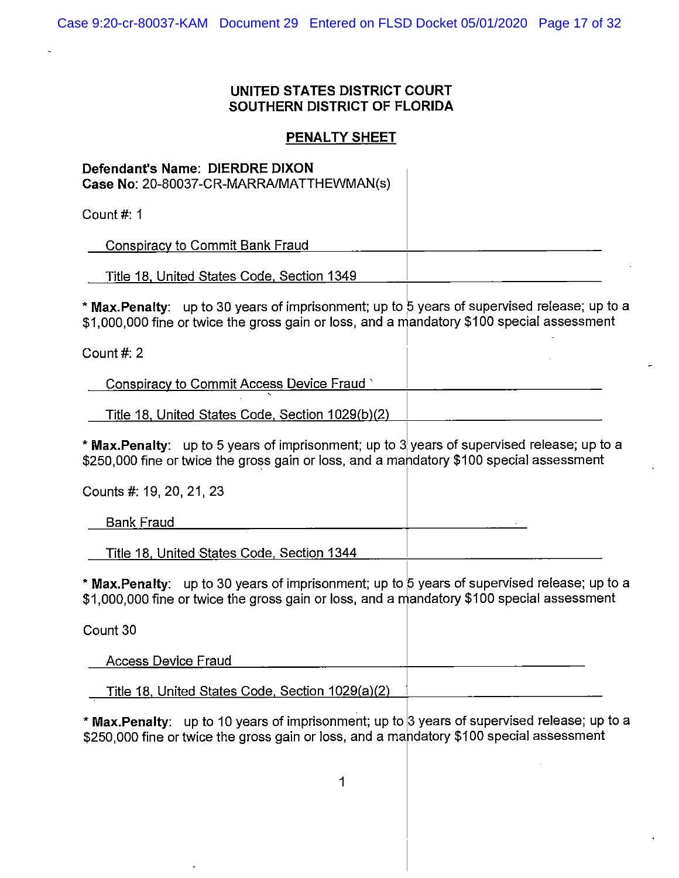# **PENAL TY SHEET**

# **Defendant's Name: DIERDRE DIXON**  Case No: 20-80037-CR-MARRA/MATTHEWMAN(s)

Count#: 1

Conspiracy to Commit Bank Fraud

Title 18, United States Code, Section 1349

\* **Max.Penalty:** up to 30 years of imprisonment; up to 5 years of supervised release; up to a \$1,000,000 fine or twice the gross gain or loss, and a niandatory \$100 special assessment

I

Count#: 2

Conspiracy to Commit Access Device Fraud '

Title 18, United States Code, Section 1029(b)(2)

\* **Max.Penalty:** up to 5 years of imprisonment; up to 3! years of supervised release; up to a \$250,000 fine or twice the gross gain or loss, and a mandatory \$100 special assessment

| Counts #: 19, 20, 21, 23                   |  |
|--------------------------------------------|--|
| <b>Bank Fraud</b>                          |  |
| Title 18, United States Code, Section 1344 |  |

\* **Max.Penalty:** up to 30 years of imprisonment; up to 5 years of supervised release; up to a \$1,000,000 fine or twice the gross gain or loss, and a mandatory \$100 special assessment

Count 30 Access Device Fraud Title 18, United States Code, Section 1029(a)(2)

\* **Max.Penalty:** up to 10 years of imprisonment; up to 3 years of supervised release; up to a \$250,000 fine or twice the gross gain or loss, and a mandatory \$100 special assessment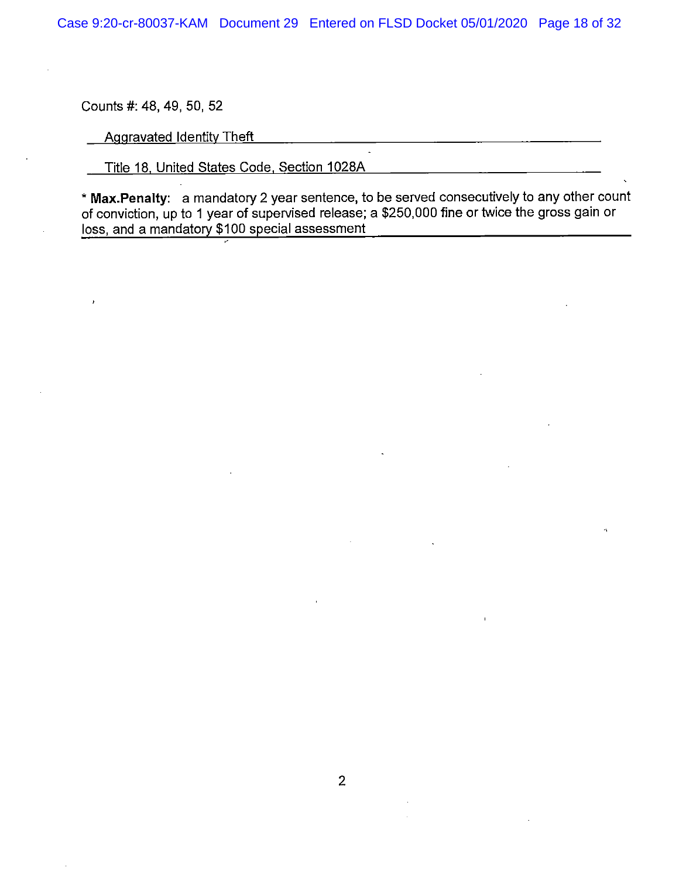Counts#: 48, 49, 50, 52

**Aggravated Identity Theft** 

Title 18, United States Code, Section 1028A

\* **Max.Penalty:** a mandatory 2 year sentence, to be served consecutively to any other count of conviction, up to 1 year of supervised release; a \$250,000 fine or twice the gross gain or loss, and a mandatory \$100 special assessment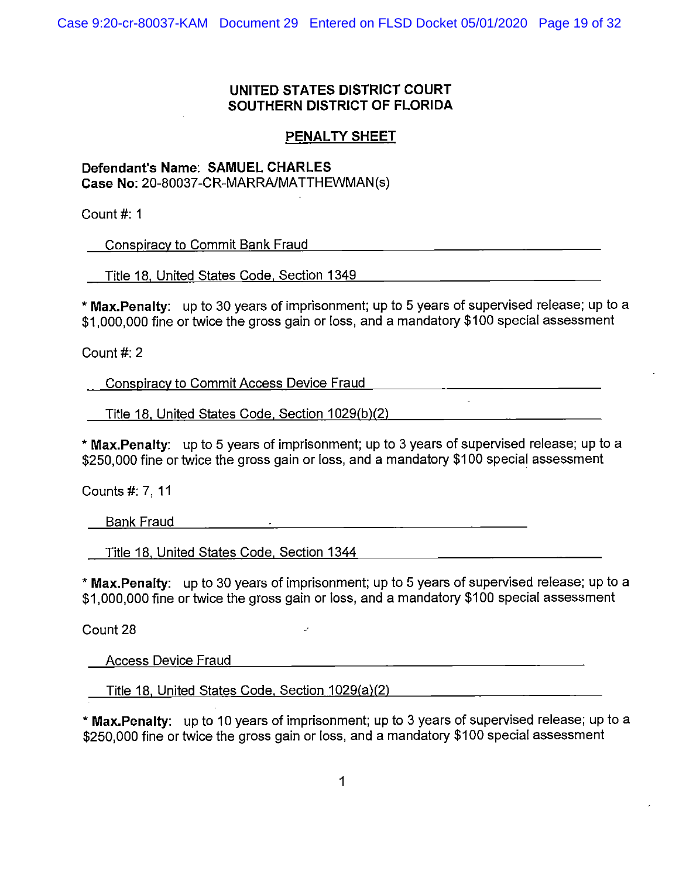# **PENAL TY SHEET**

# **Defendant's Name: SAMUEL CHARLES**

**Case No:** 20-80037-CR-MARRA/MATTHEWMAN(s)

Count#: 1

Conspiracy to Commit Bank Fraud

Title 18, United States Code, Section 1349

\* **Max.Penalty:** up to 30 years of imprisonment; up to 5 years of supervised release; up to a \$1,000,000 fine or twice the gross gain or loss, and a mandatory \$100 special assessment

<u> 1989 - Johann Stein, mars an deutscher Stein († 1989)</u>

 $\mathbb{Z}^2$ 

Count#: 2

Conspiracy to Commit Access Device Fraud

Title 18, United States Code. Section 1029(b)(2)

\* **Max.Penalty:** up to 5 years of imprisonment; up to 3 years of supervised release; up to a \$250,000 fine or twice the gross gain or loss, and a mandatory \$100 special assessment

Counts#: 7, 11

Bank Fraud

Title 18 United States Code Section 1344

\* **Max.Penalty:** up to 30 years of imprisonment; up to 5 years of supervised release; up to a \$1,000.000 fine or twice the gross gain or loss, and a mandatory \$100 special assessment

Count 28

Access Device Fraud

Title 18. United States Code. Section 1029(a)(2)

\* **Max.Penalty:** up to 10 years of imprisonment; up to 3 years of supervised release; up to a \$250,000 fine or twice the gross gain or loss, and a mandatory \$100 special assessment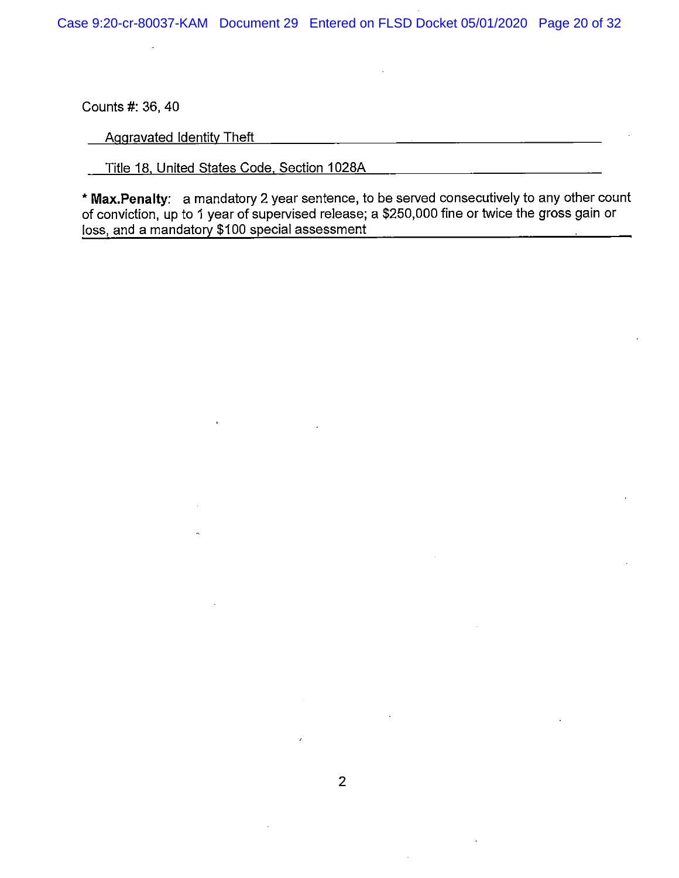Counts #: 36, 40

Aggravated Identity Theft

Title 18, United States Code, Section 1028A

\* **Max.Penalty:** a mandatory 2 year sentence, to be served consecutively to any other count of conviction, up to 1 year of supervised release; a \$250,000 fine or twice the gross gain or loss, and a mandatory \$100 special assessment

<u> 1989 - Andrea Stadt, amerikansk politiker (d. 1989)</u>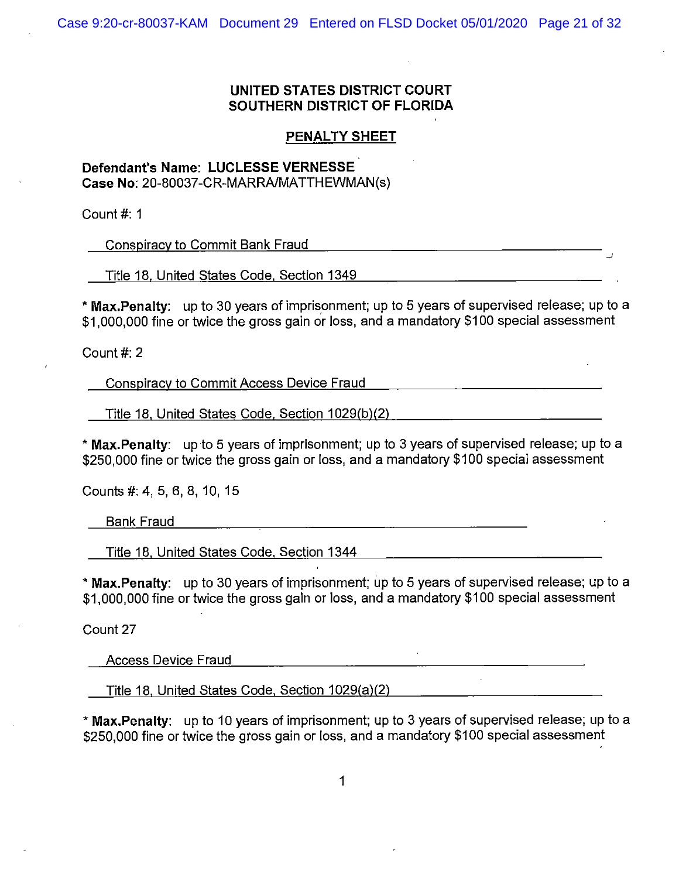# **PENAL TY SHEET**

# **Defendant's Name: LUCLESSE VERNESSE Case No:** 20-80037-CR-MARRA/MATTHEWMAN(s)

Count#: 1

Conspiracy to Commit Bank Fraud

Title 18, United States Code, Section 1349

\* **Max.Penalty:** up to 30 years of imprisonment; up to 5 years of supervised release; up to a \$1,000,000 fine or twice the gross gain or loss, and a mandatory \$100 special assessment

\_J

Count#: 2

Conspiracy to Commit Access Device Fraud

Title 18, United States Code, Section 1029(b)(2) \_\_\_\_\_\_\_\_\_\_\_\_\_\_\_\_\_\_\_\_\_\_\_\_\_\_\_\_\_\_\_

\* **Max.Penalty:** up to 5 years of imprisonment; up to 3 years of supervised release; up to a \$250,000 fine or twice the gross gain or loss, and a mandatory \$100 special assessment

Counts #: 4, 5, 6, 8, 10, 15

Bank Fraud

Title 18, United States Code, Section 1344

\* **Max.Penalty:** up to 30 years of imprisonment; up to 5 years of supervised release; up to a \$1,000,000 fine or twice the gross gain or loss, and a mandatory \$100 special assessment

Count 27

Access Device Fraud

Title 18, United States Code, Section 1029(a)(2)

\* Max.Penalty: up to 10 years of imprisonment; up to 3 years of supervised release; up to a \$250,000 fine or twice the gross gain or loss, and a mandatory \$100 special assessment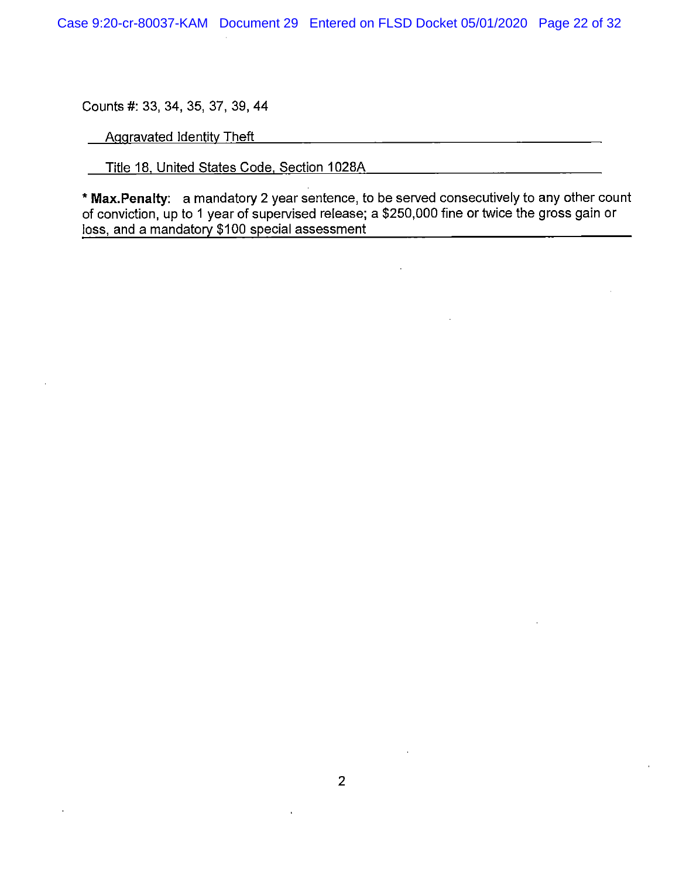Counts#: 33, 34, 35, 37, 39, 44

Aggravated Identity Theft

 $\overline{a}$ 

Title 18, United States Code, Section 1028A

\* **Max.Penalty:** a mandatory 2 year sentence, to be served consecutively to any other count of conviction, up to 1 year of supervised release; a \$250,000 fine or twice the gross gain or loss, and a mandatory \$100 special assessment

<u> 1980 - Johann Barbara, martxa alemaniar a</u>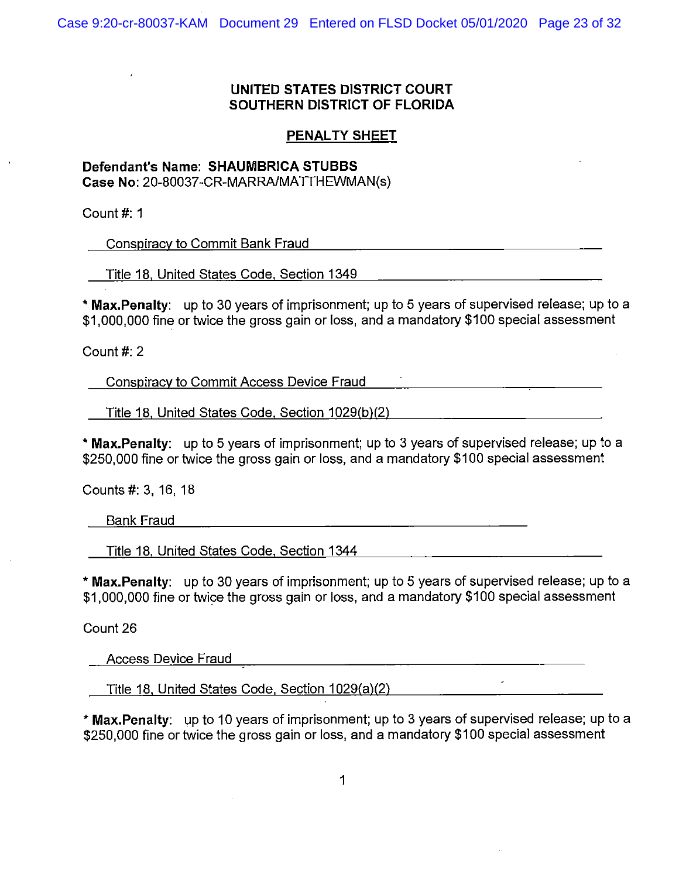# **PENAL TY SHEET**

# **Defendant's Name: SHAUMBRICA STUBBS**

**Case No:** 20-80037-CR-MARRA/MATTHEWMAN(s)

Count#: 1

Conspiracy to Commit Bank Fraud

Title 18, United States Code, Section 1349

\* **Max.Penalty:** up to 30 years of imprisonment; up to 5 years of supervised release; up to a \$1,000,000 fine or twice the gross gain or loss, and a mandatory \$100 special assessment

Count#: 2

Conspiracy to Commit Access Device Fraud

Title 18, United States Code. Section 1029(b)(2)

\* **Max.Penalty:** up to 5 years of imprisonment; up to 3 years of supervised release; up to a \$250,000 fine or twice the gross gain or loss, and a mandatory \$100 special assessment

Counts#: 3, 16, 18

Bank Fraud

Title 18. United States Code, Section 1344

\* **Max.Penalty:** up to 30 years of imprisonment; up to 5 years of supervised release; up to a \$1,000,000 fine or twice the gross gain or loss, and a mandatory \$100 special assessment

Count 26

Access Device Fraud

Title 18. United States Code. Section 1029(a)(2)

\* **Max.Penalty:** up to 10 years of imprisonment; up to 3 years of supervised release; up to a \$250,000 fine or twice the gross gain or loss, and a mandatory \$100 special assessment

<u> 1980 - Jan James James, politik eta politik eta politik eta politik eta politik eta politik eta politik eta p</u>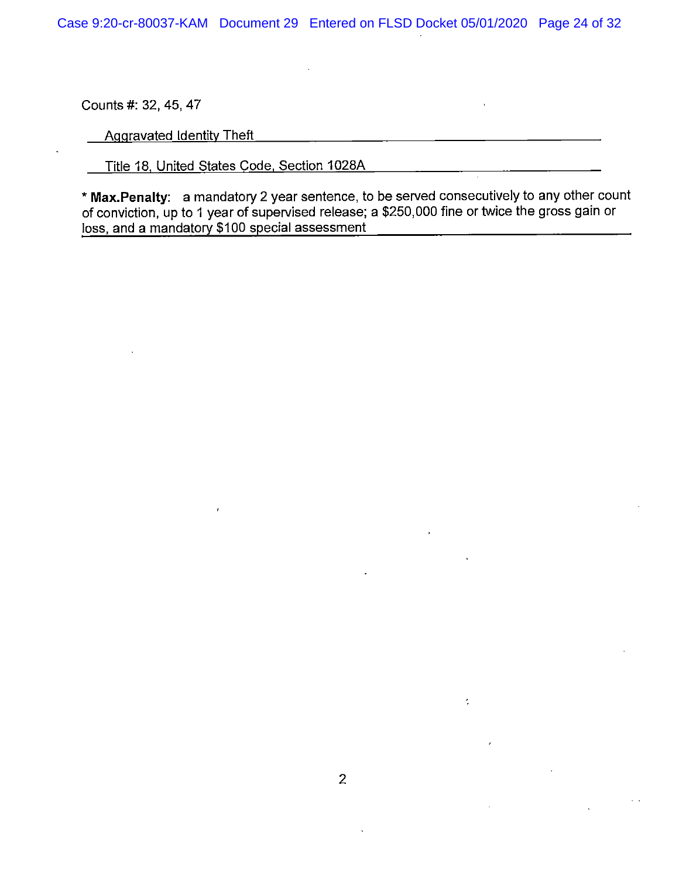Counts#: 32, 45, 47

Aggravated Identity Theft

Title 18, United States Code, Section 1028A

\* **Max.Penalty:** a mandatory 2 year sentence, to be served consecutively to any other count of conviction, up to 1 year of supervised release; a \$250,000 fine or twice the gross gain or loss, and a mandatory \$100 special assessment

 $\overline{\mathcal{L}}$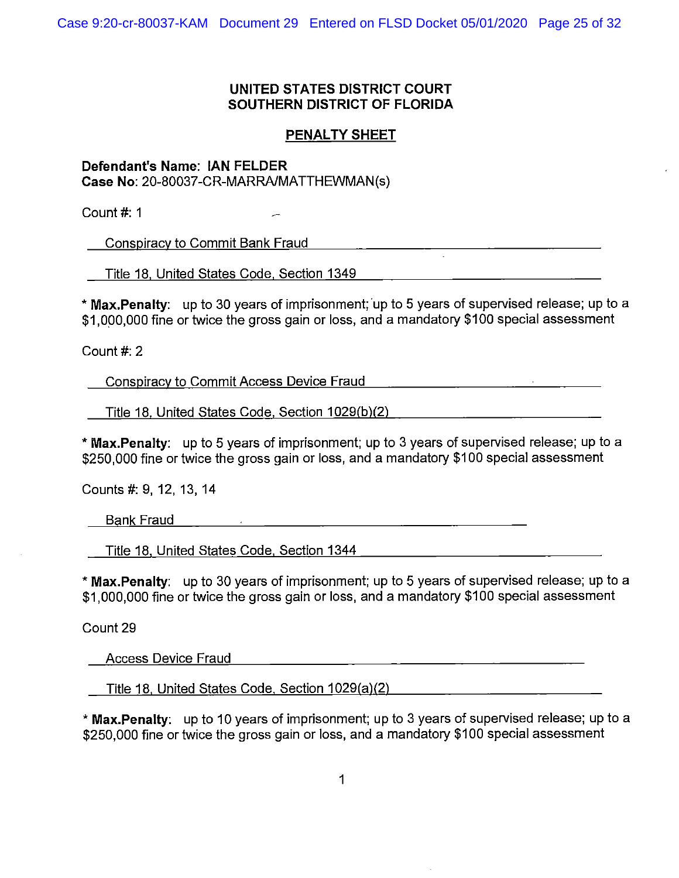# **PENAL TY SHEET**

**Defendant's Name: IAN FELDER Case No:** 20-80037-CR-MARRA/MATTHEWMAN(s)

Count#: 1

Conspiracy to Commit Bank Fraud

Title 18, United States Code, Section 1349

\* Max.Penalty: up to 30 years of imprisonment; up to 5 years of supervised release; up to a \$1,000,000 fine or twice the gross gain or loss, and a mandatory \$100 special assessment

Count#: 2

Conspiracy to Commit Access Device Fraud

Title 18. United States Code, Section 1029(b)(2)

\* **Max.Penalty:** up to 5 years of imprisonment; up to 3 years of supervised release; up to a \$250,000 fine or twice the gross gain or loss, and a mandatory \$100 special assessment

Counts#: 9, 12, 13, 14

Bank Fraud

Title 18, United States Code, Section 1344

\* **Max.Penalty:** up to 30 years of imprisonment; up to 5 years of supervised release; up to a \$1,000,000 fine or twice the gross gain or loss, and a mandatory \$100 special assessment

 $\mathcal{L}_{\mathcal{A}}$  and the set of the set of the set of the set of the set of the set of the set of the set of the set of the set of the set of the set of the set of the set of the set of the set of the set of the set of the

Count 29

Access Device Fraud

Title 18, United States Code, Section 1029(a)(2)

\* Max. Penalty: up to 10 years of imprisonment; up to 3 years of supervised release; up to a \$250,000 fine or twice the gross gain or loss, and a mandatory \$100 special assessment

and the state of the state of the state of the state of the state of the state of the state of the state of th<br>The state of the state of the state of the state of the state of the state of the state of the state of the st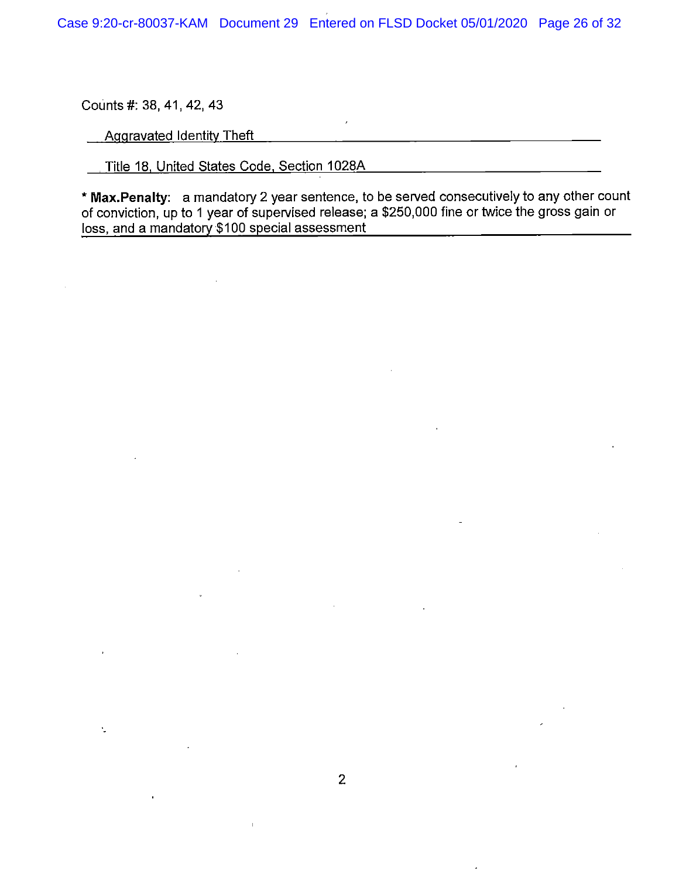Counts #: 38, 41, 42, 43

Ÿ.

Aggravated Identity Theft

Title 18, United States Code, Section 1028A

\* **Max.Penalty:** a mandatory 2 year sentence, to be served consecutively to any other count of conviction, up to 1 year of supervised release; a \$250,000 fine or twice the gross gain or loss, and a mandatory \$100 special assessment

and the state of the state of the state of the state of the state of the state of the state of the state of the

and the contract of the contract of the contract of the contract of the contract of the contract of the contract of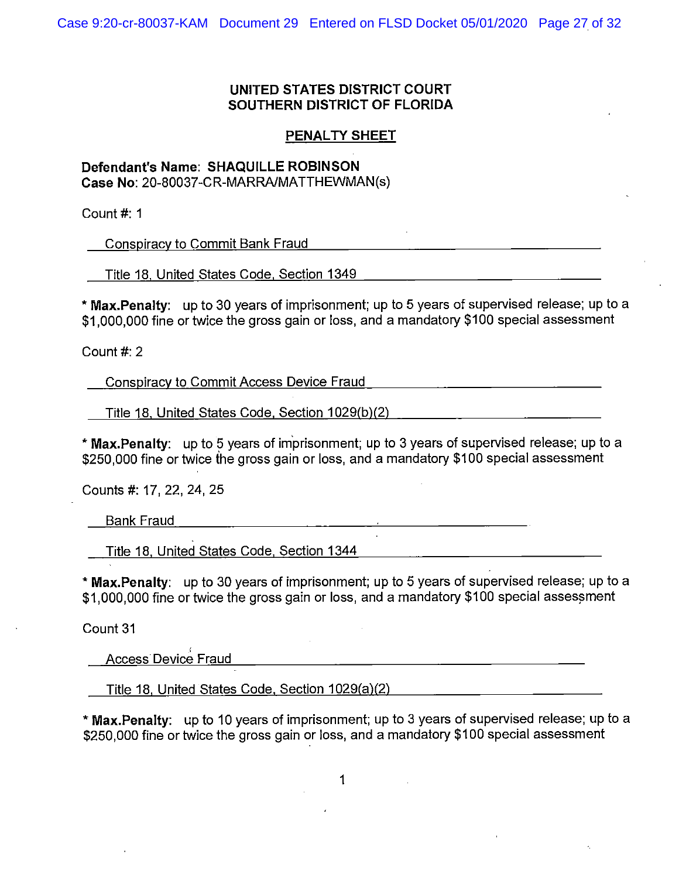# **PENALTY SHEET**

# **Defendant's Name: SHAQUILLE ROBINSON Case No:** 20-80037-CR-MARRA/MATTHEWMAN(s)

Count#: 1

Conspiracy to Commit Bank Fraud

Title 18, United States Code, Section 1349 [19] Title 18, United States Code, Section 1349

\* **Max.Penalty:** up to 30 years of imprisonment; up to 5 years of supervised release; up to a \$1,000,000 fine or twice the gross gain or loss, and a mandatory \$100 special assessment

Count#: 2

Conspiracy to Commit Access Device Fraud

Title 18, United States Code, Section 1029(b)(2) [10] Title 18, United States Code, Section 1029(b)(2)

\* **Max.Penalty:** up to 5 years of im'prisonment; up to 3 years of supervised release; up to a \$250,000 fine or twice the gross gain or loss, and a mandatory \$100 special assessment

<u> 1980 - Johann John Stone, mars eta industrial eta industrial eta industrial eta industrial eta industrial e</u>

Counts#: 17, 22, 24, 25

Bank Fraud

Title 18, United States Code, Section 1344

\* **Max.Penalty:** up to 30 years of imprisonment; up to 5 years of supervised release; up to a \$1,000,000 fine or twice the gross gain or loss, and a mandatory \$100 special assessment

Count 31

Access Device Fraud

Title 18, United States Code. Section 1029(a)(2)

\* **Max.Penalty:** up to 10 years of imprisonment; up to 3 years of supervised release; up to a \$250,000 fine or twice the gross gain or loss, and a mandatory \$100 special assessment

<u> 1989 - Jan Sterling von Berger von Berger von Berger von Berger von Berger von Berger von Berger von Berger</u>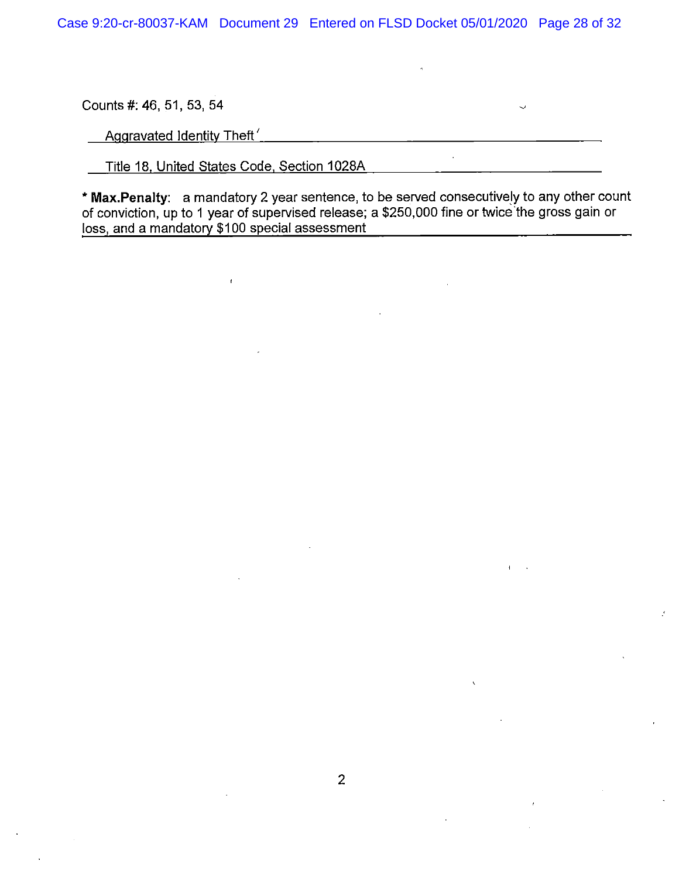Counts#: 46, 51, 53, 54

Aggravated Identity Theft'

Title 18, United States Code, Section 1028A

 $\hat{t}$ 

\* **Max.Penalty:** a mandatory 2 year sentence, to be served consecutively to any other count of conviction, up to 1 year of supervised release; a \$250,000 fine or twice 'the gross gain or loss, and a mandatory \$100 special assessment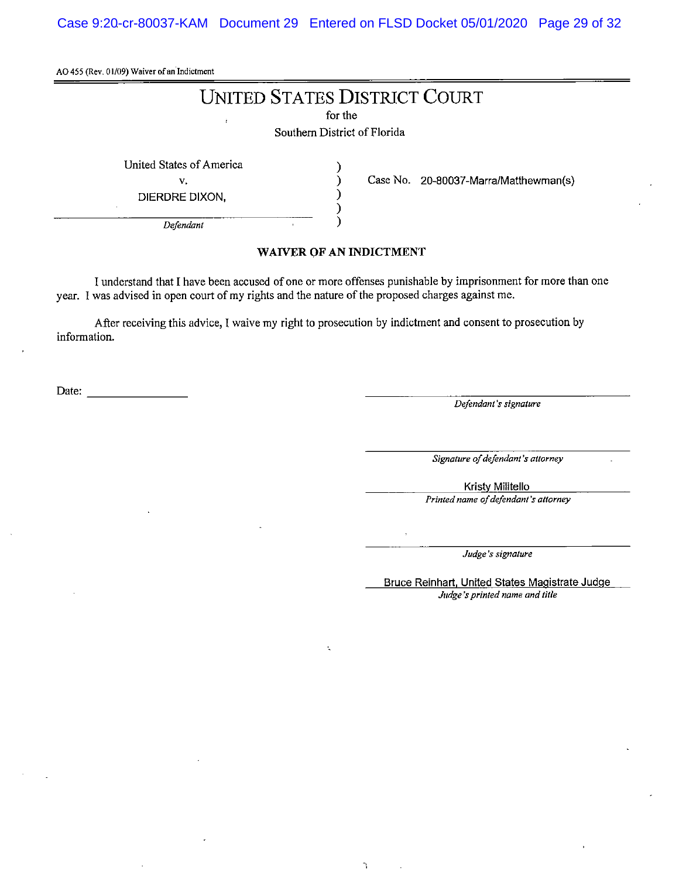Case 9:20-cr-80037-KAM Document 29 Entered on FLSD Docket 05/01/2020 Page 29 of 32

AO 455 (Rev. 01/09) Waiver of an Indictment

# UNITED STATES DISTRICT COURT

for the

Southern District of Florida

) ) ) ) )

United States of America

v.

DIERDRE DIXON,

Case No. 20-80037-Marra/Matthewman(s)

*Defendant* 

#### **WAIVER OF AN INDICTMENT**

I understand that I have been accused of one or more offenses punishable by imprisonment for more than one year. I was advised in open court of my rights and the nature of the proposed charges against me.

 $\mathbf{r}$ 

After receiving this advice, I waive my right to prosecution by indictment and consent to prosecution by information.

example of the contract of the contract of the contract of the contract of the contract of the contract of the contract of the contract of the contract of the contract of the contract of the contract of the contract of the

*Signature of defendant's attorney* 

Kristy Militello

*Printed name of defendant's attorney* 

*Judge 's signature* 

Bruce Reinhart, United States Magistrate Judge *Judge-'s printed name and title*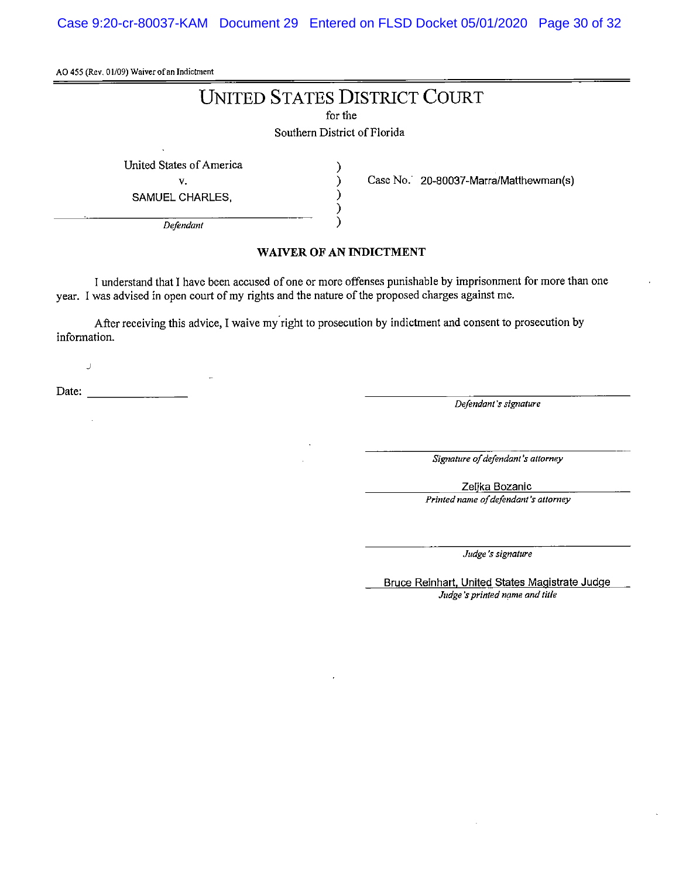Case 9:20-cr-80037-KAM Document 29 Entered on FLSD Docket 05/01/2020 Page 30 of 32

AO 455 (Rev. 01/09) Waiver of an Indictment

# **UNITED STATES DISTRICT COURT**

for the

Southern District of Florida

) ) ) ) )

United States of America

V.

SAMUEL CHARLES,

Case No. 20-80037-Marra/Matthewman(s)

*Defendant* 

#### **WANER OF AN INDICTMENT**

I understand that I have been accused of one or more offenses punishable by imprisonment for more than one year. I was advised in open court of my rights and the nature of the proposed charges against me.

After receiving this advice, I waive my right to prosecution by indictment and consent to prosecution by information.

Date: \_\_\_\_\_\_\_ \_

J

*Defendant's signature* 

*Signature of defendant's attorney* 

Zelika Bozanic

*Printed name of defendant's attorney* 

*Judge's signature* 

Bruce Reinhart. United States Magistrate Judge *Judge's printed name and title*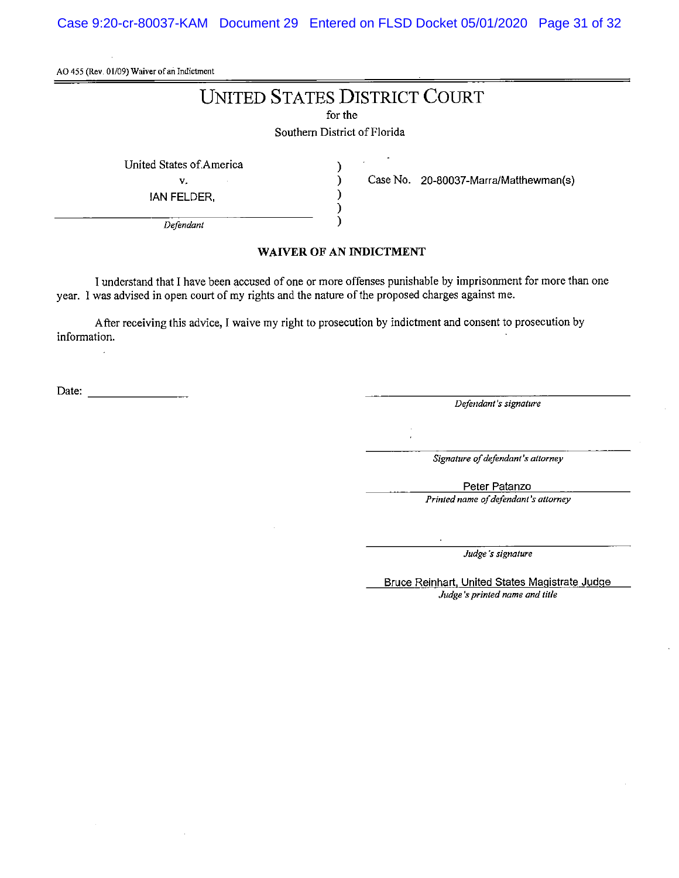Case 9:20-cr-80037-KAM Document 29 Entered on FLSD Docket 05/01/2020 Page 31 of 32

AO 455 (Rev. 01/09) Waiver of an Indictment

# UNITED STATES DISTRICT COURT

for the

Southern District of Florida

) ) ) ) )

United States of America

v.

!AN FELDER,

Case No. 20-80037-Marra/Matthewman(s)

*Defendant* 

#### **WAIVER OF AN INDICTMENT**

I understand that I have been accused of one or more offenses punishable by imprisonment for more than one year. I was advised in open court of my rights and the nature of the proposed charges against me.

After receiving this advice, I waive my right to prosecution by indictment and consent to prosecution by information.

Date: -------- *Defendant's signature* 

*Signature of defendant's attorney* 

Peter Patanzo

*Printed name of defendant's attorney* 

*Judge's signature* 

Bruce Reinhart, United States Magistrate Judge *Judge 'sprinted name and title*